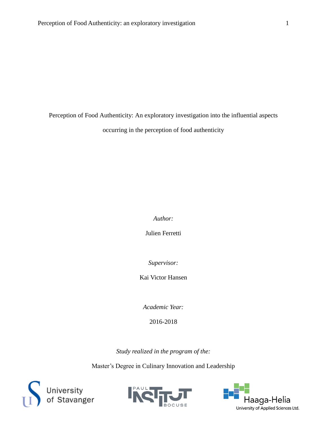Perception of Food Authenticity: An exploratory investigation into the influential aspects

occurring in the perception of food authenticity

*Author:* 

Julien Ferretti

*Supervisor:* 

Kai Victor Hansen

*Academic Year:*

2016-2018

*Study realized in the program of the:*

Master's Degree in Culinary Innovation and Leadership





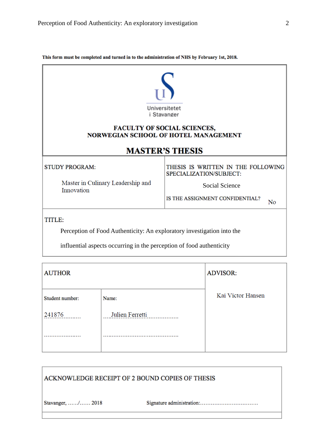| This form must be completed and turned in to the administration of NHS by February 1st, 2018. |                                                               |  |
|-----------------------------------------------------------------------------------------------|---------------------------------------------------------------|--|
|                                                                                               | Universitetet<br><i>i</i> Stavanger                           |  |
| <b>FACULTY OF SOCIAL SCIENCES,</b><br><b>NORWEGIAN SCHOOL OF HOTEL MANAGEMENT</b>             |                                                               |  |
|                                                                                               | <b>MASTER'S THESIS</b>                                        |  |
| <b>STUDY PROGRAM:</b>                                                                         | THESIS IS WRITTEN IN THE FOLLOWING<br>SPECIALIZATION/SUBJECT: |  |
| Master in Culinary Leadership and<br>Innovation                                               | <b>Social Science</b>                                         |  |
|                                                                                               | IS THE ASSIGNMENT CONFIDENTIAL?<br>No                         |  |
| TITLE:                                                                                        |                                                               |  |
| Perception of Food Authenticity: An exploratory investigation into the                        |                                                               |  |
| influential aspects occurring in the perception of food authenticity                          |                                                               |  |

| <b>AUTHOR</b>   |                 | <b>ADVISOR:</b>   |
|-----------------|-----------------|-------------------|
| Student number: | Name:           | Kai Victor Hansen |
| 241876          | Julien Ferretti |                   |
|                 |                 |                   |
|                 |                 |                   |

| ACKNOWLEDGE RECEIPT OF 2 BOUND COPIES OF THESIS |  |
|-------------------------------------------------|--|
| Stavanger, / 2018                               |  |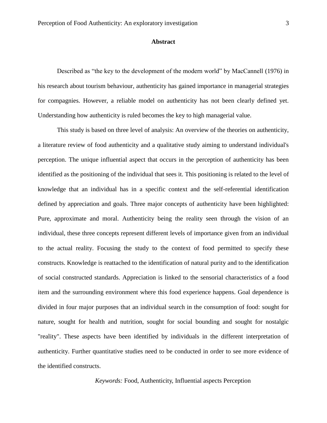### <span id="page-2-0"></span>**Abstract**

Described as "the key to the development of the modern world" by MacCannell (1976) in his research about tourism behaviour, authenticity has gained importance in managerial strategies for compagnies. However, a reliable model on authenticity has not been clearly defined yet. Understanding how authenticity is ruled becomes the key to high managerial value.

This study is based on three level of analysis: An overview of the theories on authenticity, a literature review of food authenticity and a qualitative study aiming to understand individual's perception. The unique influential aspect that occurs in the perception of authenticity has been identified as the positioning of the individual that sees it. This positioning is related to the level of knowledge that an individual has in a specific context and the self-referential identification defined by appreciation and goals. Three major concepts of authenticity have been highlighted: Pure, approximate and moral. Authenticity being the reality seen through the vision of an individual, these three concepts represent different levels of importance given from an individual to the actual reality. Focusing the study to the context of food permitted to specify these constructs. Knowledge is reattached to the identification of natural purity and to the identification of social constructed standards. Appreciation is linked to the sensorial characteristics of a food item and the surrounding environment where this food experience happens. Goal dependence is divided in four major purposes that an individual search in the consumption of food: sought for nature, sought for health and nutrition, sought for social bounding and sought for nostalgic "reality". These aspects have been identified by individuals in the different interpretation of authenticity. Further quantitative studies need to be conducted in order to see more evidence of the identified constructs.

*Keywords:* Food, Authenticity, Influential aspects Perception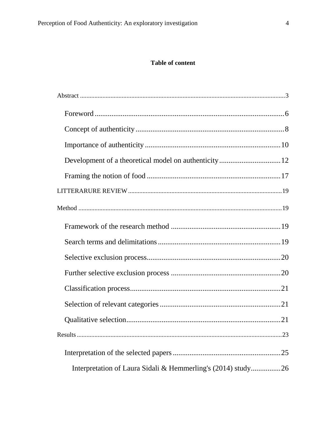## **Table of content**

| Interpretation of Laura Sidali & Hemmerling's (2014) study26 |  |
|--------------------------------------------------------------|--|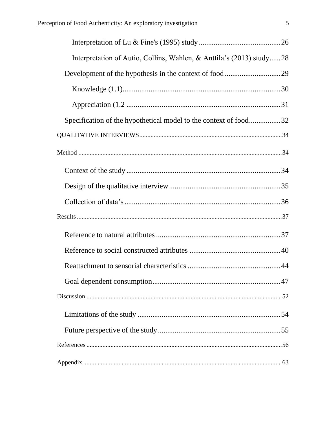| Interpretation of Autio, Collins, Wahlen, & Anttila's (2013) study28 |
|----------------------------------------------------------------------|
|                                                                      |
|                                                                      |
|                                                                      |
| Specification of the hypothetical model to the context of food32     |
|                                                                      |
|                                                                      |
|                                                                      |
|                                                                      |
|                                                                      |
|                                                                      |
|                                                                      |
|                                                                      |
|                                                                      |
|                                                                      |
|                                                                      |
|                                                                      |
|                                                                      |
|                                                                      |
|                                                                      |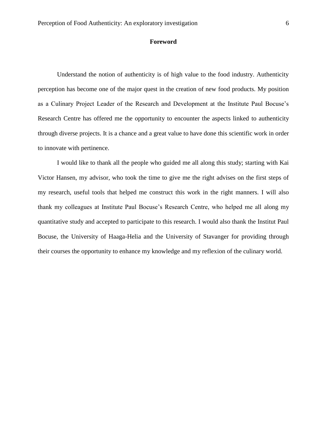#### **Foreword**

<span id="page-5-0"></span>Understand the notion of authenticity is of high value to the food industry. Authenticity perception has become one of the major quest in the creation of new food products. My position as a Culinary Project Leader of the Research and Development at the Institute Paul Bocuse's Research Centre has offered me the opportunity to encounter the aspects linked to authenticity through diverse projects. It is a chance and a great value to have done this scientific work in order to innovate with pertinence.

I would like to thank all the people who guided me all along this study; starting with Kai Victor Hansen, my advisor, who took the time to give me the right advises on the first steps of my research, useful tools that helped me construct this work in the right manners. I will also thank my colleagues at Institute Paul Bocuse's Research Centre, who helped me all along my quantitative study and accepted to participate to this research. I would also thank the Institut Paul Bocuse, the University of Haaga-Helia and the University of Stavanger for providing through their courses the opportunity to enhance my knowledge and my reflexion of the culinary world.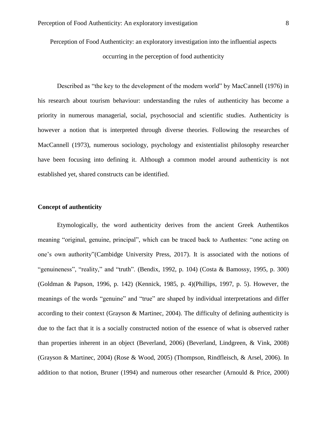Perception of Food Authenticity: an exploratory investigation into the influential aspects occurring in the perception of food authenticity

Described as "the key to the development of the modern world" by MacCannell (1976) in his research about tourism behaviour: understanding the rules of authenticity has become a priority in numerous managerial, social, psychosocial and scientific studies. Authenticity is however a notion that is interpreted through diverse theories. Following the researches of MacCannell (1973), numerous sociology, psychology and existentialist philosophy researcher have been focusing into defining it. Although a common model around authenticity is not established yet, shared constructs can be identified.

## <span id="page-7-0"></span>**Concept of authenticity**

Etymologically, the word authenticity derives from the ancient Greek Authentikos meaning "original, genuine, principal", which can be traced back to Authentes: "one acting on one's own authority"(Cambidge University Press, 2017). It is associated with the notions of "genuineness", "reality," and "truth". (Bendix, 1992, p. 104) (Costa & Bamossy, 1995, p. 300) (Goldman & Papson, 1996, p. 142) (Kennick, 1985, p. 4)(Phillips, 1997, p. 5). However, the meanings of the words "genuine" and "true" are shaped by individual interpretations and differ according to their context (Grayson & Martinec, 2004). The difficulty of defining authenticity is due to the fact that it is a socially constructed notion of the essence of what is observed rather than properties inherent in an object (Beverland, 2006) (Beverland, Lindgreen, & Vink, 2008) (Grayson & Martinec, 2004) (Rose & Wood, 2005) (Thompson, Rindfleisch, & Arsel, 2006). In addition to that notion, Bruner (1994) and numerous other researcher (Arnould & Price, 2000)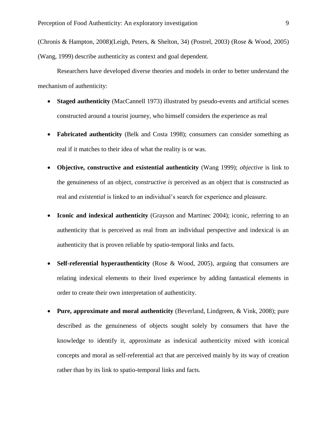(Chronis & Hampton, 2008)(Leigh, Peters, & Shelton, 34) (Postrel, 2003) (Rose & Wood, 2005) (Wang, 1999) describe authenticity as context and goal dependent.

Researchers have developed diverse theories and models in order to better understand the mechanism of authenticity:

- **Staged authenticity** (MacCannell 1973) illustrated by pseudo-events and artificial scenes constructed around a tourist journey, who himself considers the experience as real
- **Fabricated authenticity** (Belk and Costa 1998); consumers can consider something as real if it matches to their idea of what the reality is or was.
- **Objective, constructive and existential authenticity** (Wang 1999); *objective* is link to the genuineness of an object, *constructive is* perceived as an object that is constructed as real and *existential* is linked to an individual's search for experience and pleasure.
- **Iconic and indexical authenticity** (Grayson and Martinec 2004); iconic, referring to an authenticity that is perceived as real from an individual perspective and indexical is an authenticity that is proven reliable by spatio-temporal links and facts.
- **Self-referential hyperauthenticity** (Rose & Wood, 2005), arguing that consumers are relating indexical elements to their lived experience by adding fantastical elements in order to create their own interpretation of authenticity.
- **Pure, approximate and moral authenticity** (Beverland, Lindgreen, & Vink, 2008); pure described as the genuineness of objects sought solely by consumers that have the knowledge to identify it, approximate as indexical authenticity mixed with iconical concepts and moral as self-referential act that are perceived mainly by its way of creation rather than by its link to spatio-temporal links and facts.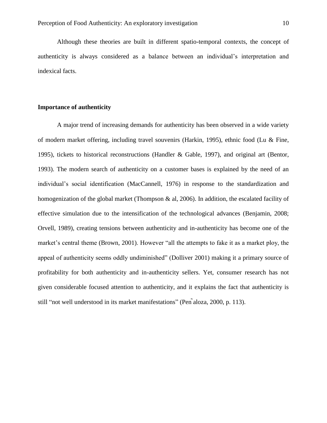Although these theories are built in different spatio-temporal contexts, the concept of authenticity is always considered as a balance between an individual's interpretation and indexical facts.

## <span id="page-9-0"></span>**Importance of authenticity**

A major trend of increasing demands for authenticity has been observed in a wide variety of modern market offering, including travel souvenirs (Harkin, 1995), ethnic food (Lu & Fine, 1995), tickets to historical reconstructions (Handler & Gable, 1997), and original art (Bentor, 1993). The modern search of authenticity on a customer bases is explained by the need of an individual's social identification (MacCannell, 1976) in response to the standardization and homogenization of the global market (Thompson & al, 2006). In addition, the escalated facility of effective simulation due to the intensification of the technological advances (Benjamin, 2008; Orvell, 1989), creating tensions between authenticity and in-authenticity has become one of the market's central theme (Brown, 2001). However "all the attempts to fake it as a market ploy, the appeal of authenticity seems oddly undiminished" (Dolliver 2001) making it a primary source of profitability for both authenticity and in-authenticity sellers. Yet, consumer research has not given considerable focused attention to authenticity, and it explains the fact that authenticity is still "not well understood in its market manifestations" (Pen ̃aloza, 2000, p. 113).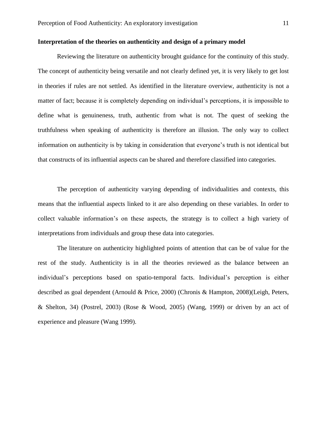## **Interpretation of the theories on authenticity and design of a primary model**

Reviewing the literature on authenticity brought guidance for the continuity of this study. The concept of authenticity being versatile and not clearly defined yet, it is very likely to get lost in theories if rules are not settled. As identified in the literature overview, authenticity is not a matter of fact; because it is completely depending on individual's perceptions, it is impossible to define what is genuineness, truth, authentic from what is not. The quest of seeking the truthfulness when speaking of authenticity is therefore an illusion. The only way to collect information on authenticity is by taking in consideration that everyone's truth is not identical but that constructs of its influential aspects can be shared and therefore classified into categories.

The perception of authenticity varying depending of individualities and contexts, this means that the influential aspects linked to it are also depending on these variables. In order to collect valuable information's on these aspects, the strategy is to collect a high variety of interpretations from individuals and group these data into categories.

The literature on authenticity highlighted points of attention that can be of value for the rest of the study. Authenticity is in all the theories reviewed as the balance between an individual's perceptions based on spatio-temporal facts. Individual's perception is either described as goal dependent (Arnould & Price, 2000) (Chronis & Hampton, 2008)(Leigh, Peters, & Shelton, 34) (Postrel, 2003) (Rose & Wood, 2005) (Wang, 1999) or driven by an act of experience and pleasure (Wang 1999).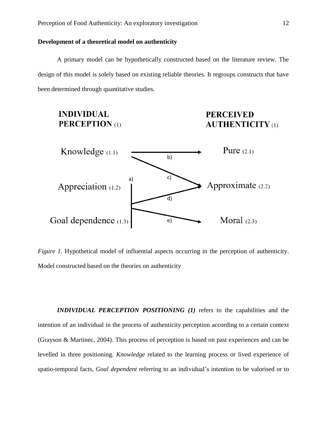## <span id="page-11-0"></span>**Development of a theoretical model on authenticity**

A primary model can be hypothetically constructed based on the literature review. The design of this model is solely based on existing reliable theories. It regroups constructs that have been determined through quantitative studies.

# **INDIVIDUAL PERCEPTION** (1)

## **PERCEIVED AUTHENTICITY** (1)



*Figure 1.* Hypothetical model of influential aspects occurring in the perception of authenticity. Model constructed based on the theories on authenticity

*INDIVIDUAL PERCEPTION POSITIONING (1)* refers to the capabilities and the intention of an individual in the process of authenticity perception according to a certain context (Grayson & Martinec, 2004). This process of perception is based on past experiences and can be levelled in three positioning. *Knowledge* related to the learning process or lived experience of spatio-temporal facts, *Goal dependent* referring to an individual's intention to be valorised or to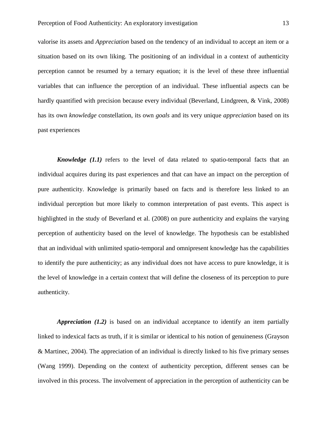valorise its assets and *Appreciation* based on the tendency of an individual to accept an item or a situation based on its own liking. The positioning of an individual in a context of authenticity perception cannot be resumed by a ternary equation; it is the level of these three influential variables that can influence the perception of an individual. These influential aspects can be hardly quantified with precision because every individual (Beverland, Lindgreen, & Vink, 2008) has its own *knowledge* constellation, its own *goals* and its very unique *appreciation* based on its past experiences

*Knowledge* (1.1) refers to the level of data related to spatio-temporal facts that an individual acquires during its past experiences and that can have an impact on the perception of pure authenticity. Knowledge is primarily based on facts and is therefore less linked to an individual perception but more likely to common interpretation of past events. This aspect is highlighted in the study of Beverland et al. (2008) on pure authenticity and explains the varying perception of authenticity based on the level of knowledge. The hypothesis can be established that an individual with unlimited spatio-temporal and omnipresent knowledge has the capabilities to identify the pure authenticity; as any individual does not have access to pure knowledge, it is the level of knowledge in a certain context that will define the closeness of its perception to pure authenticity.

*Appreciation (1.2)* is based on an individual acceptance to identify an item partially linked to indexical facts as truth, if it is similar or identical to his notion of genuineness (Grayson & Martinec, 2004). The appreciation of an individual is directly linked to his five primary senses (Wang 1999). Depending on the context of authenticity perception, different senses can be involved in this process. The involvement of appreciation in the perception of authenticity can be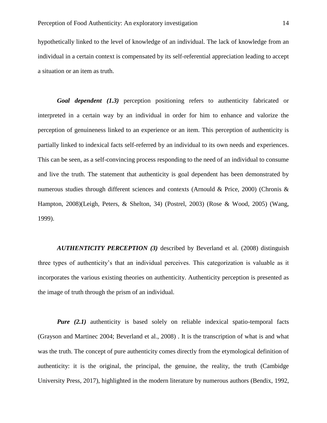hypothetically linked to the level of knowledge of an individual. The lack of knowledge from an individual in a certain context is compensated by its self-referential appreciation leading to accept a situation or an item as truth.

*Goal dependent (1.3)* perception positioning refers to authenticity fabricated or interpreted in a certain way by an individual in order for him to enhance and valorize the perception of genuineness linked to an experience or an item. This perception of authenticity is partially linked to indexical facts self-referred by an individual to its own needs and experiences. This can be seen, as a self-convincing process responding to the need of an individual to consume and live the truth. The statement that authenticity is goal dependent has been demonstrated by numerous studies through different sciences and contexts (Arnould & Price, 2000) (Chronis & Hampton, 2008)(Leigh, Peters, & Shelton, 34) (Postrel, 2003) (Rose & Wood, 2005) (Wang, 1999).

*AUTHENTICITY PERCEPTION (3)* described by Beverland et al. (2008) distinguish three types of authenticity's that an individual perceives. This categorization is valuable as it incorporates the various existing theories on authenticity. Authenticity perception is presented as the image of truth through the prism of an individual.

*Pure* (2.1) authenticity is based solely on reliable indexical spatio-temporal facts (Grayson and Martinec 2004; Beverland et al., 2008) . It is the transcription of what is and what was the truth. The concept of pure authenticity comes directly from the etymological definition of authenticity: it is the original, the principal, the genuine, the reality, the truth (Cambidge University Press, 2017), highlighted in the modern literature by numerous authors (Bendix, 1992,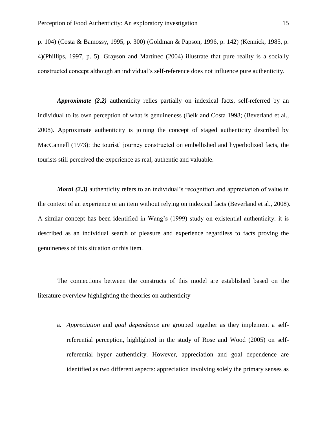p. 104) (Costa & Bamossy, 1995, p. 300) (Goldman & Papson, 1996, p. 142) (Kennick, 1985, p. 4)(Phillips, 1997, p. 5). Grayson and Martinec (2004) illustrate that pure reality is a socially constructed concept although an individual's self-reference does not influence pure authenticity.

*Approximate (2.2)* authenticity relies partially on indexical facts, self-referred by an individual to its own perception of what is genuineness (Belk and Costa 1998; (Beverland et al., 2008). Approximate authenticity is joining the concept of staged authenticity described by MacCannell (1973): the tourist' journey constructed on embellished and hyperbolized facts, the tourists still perceived the experience as real, authentic and valuable.

*Moral (2.3)* authenticity refers to an individual's recognition and appreciation of value in the context of an experience or an item without relying on indexical facts (Beverland et al., 2008). A similar concept has been identified in Wang's (1999) study on existential authenticity: it is described as an individual search of pleasure and experience regardless to facts proving the genuineness of this situation or this item.

The connections between the constructs of this model are established based on the literature overview highlighting the theories on authenticity

a. *Appreciation* and *goal dependence* are grouped together as they implement a selfreferential perception, highlighted in the study of Rose and Wood (2005) on selfreferential hyper authenticity. However, appreciation and goal dependence are identified as two different aspects: appreciation involving solely the primary senses as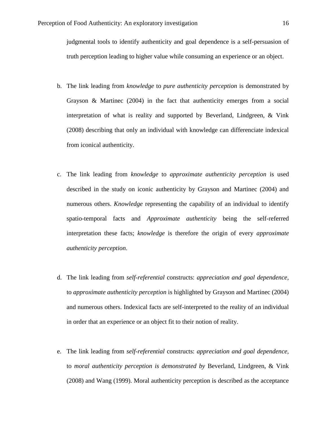judgmental tools to identify authenticity and goal dependence is a self-persuasion of truth perception leading to higher value while consuming an experience or an object.

- b. The link leading from *knowledge* to *pure authenticity perception* is demonstrated by Grayson & Martinec (2004) in the fact that authenticity emerges from a social interpretation of what is reality and supported by Beverland, Lindgreen, & Vink (2008) describing that only an individual with knowledge can differenciate indexical from iconical authenticity.
- c. The link leading from *knowledge* to *approximate authenticity perception* is used described in the study on iconic authenticity by Grayson and Martinec (2004) and numerous others. *Knowledge* representing the capability of an individual to identify spatio-temporal facts and *Approximate authenticity* being the self-referred interpretation these facts; *knowledge* is therefore the origin of every *approximate authenticity perception*.
- d. The link leading from *self-referential* constructs: *appreciation and goal dependence,*  to *approximate authenticity perception* is highlighted by Grayson and Martinec (2004) and numerous others. Indexical facts are self-interpreted to the reality of an individual in order that an experience or an object fit to their notion of reality.
- e. The link leading from *self-referential* constructs: *appreciation and goal dependence,*  to *moral authenticity perception is demonstrated by* Beverland, Lindgreen, & Vink (2008) and Wang (1999). Moral authenticity perception is described as the acceptance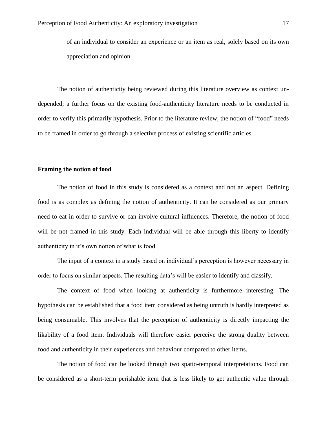of an individual to consider an experience or an item as real, solely based on its own appreciation and opinion.

The notion of authenticity being reviewed during this literature overview as context undepended; a further focus on the existing food-authenticity literature needs to be conducted in order to verify this primarily hypothesis. Prior to the literature review, the notion of "food" needs to be framed in order to go through a selective process of existing scientific articles.

#### <span id="page-16-0"></span>**Framing the notion of food**

The notion of food in this study is considered as a context and not an aspect. Defining food is as complex as defining the notion of authenticity. It can be considered as our primary need to eat in order to survive or can involve cultural influences. Therefore, the notion of food will be not framed in this study. Each individual will be able through this liberty to identify authenticity in it's own notion of what is food.

The input of a context in a study based on individual's perception is however necessary in order to focus on similar aspects. The resulting data's will be easier to identify and classify.

The context of food when looking at authenticity is furthermore interesting. The hypothesis can be established that a food item considered as being untruth is hardly interpreted as being consumable. This involves that the perception of authenticity is directly impacting the likability of a food item. Individuals will therefore easier perceive the strong duality between food and authenticity in their experiences and behaviour compared to other items.

The notion of food can be looked through two spatio-temporal interpretations. Food can be considered as a short-term perishable item that is less likely to get authentic value through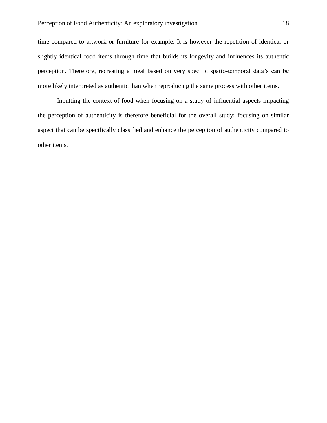time compared to artwork or furniture for example. It is however the repetition of identical or slightly identical food items through time that builds its longevity and influences its authentic perception. Therefore, recreating a meal based on very specific spatio-temporal data's can be more likely interpreted as authentic than when reproducing the same process with other items.

Inputting the context of food when focusing on a study of influential aspects impacting the perception of authenticity is therefore beneficial for the overall study; focusing on similar aspect that can be specifically classified and enhance the perception of authenticity compared to other items.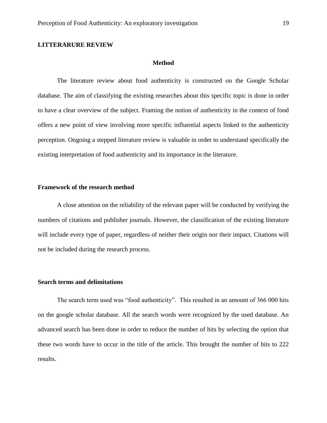## <span id="page-18-1"></span><span id="page-18-0"></span>**LITTERARURE REVIEW**

#### **Method**

The literature review about food authenticity is constructed on the Google Scholar database. The aim of classifying the existing researches about this specific topic is done in order to have a clear overview of the subject. Framing the notion of authenticity in the context of food offers a new point of view involving more specific influential aspects linked to the authenticity perception. Ongoing a stepped literature review is valuable in order to understand specifically the existing interpretation of food authenticity and its importance in the literature.

## <span id="page-18-2"></span>**Framework of the research method**

A close attention on the reliability of the relevant paper will be conducted by verifying the numbers of citations and publisher journals. However, the classification of the existing literature will include every type of paper, regardless of neither their origin nor their impact. Citations will not be included during the research process.

## <span id="page-18-3"></span>**Search terms and delimitations**

The search term used was "food authenticity". This resulted in an amount of 366 000 hits on the google scholar database. All the search words were recognized by the used database. An advanced search has been done in order to reduce the number of hits by selecting the option that these two words have to occur in the title of the article. This brought the number of hits to 222 results.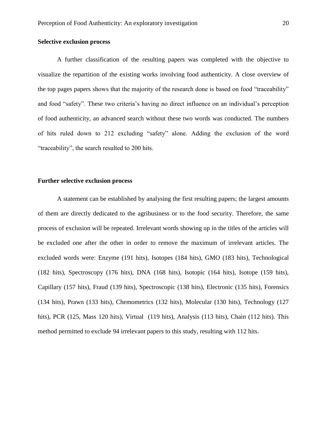## <span id="page-19-0"></span>**Selective exclusion process**

A further classification of the resulting papers was completed with the objective to visualize the repartition of the existing works involving food authenticity. A close overview of the top pages papers shows that the majority of the research done is based on food "traceability" and food "safety". These two criteria's having no direct influence on an individual's perception of food authenticity, an advanced search without these two words was conducted. The numbers of hits ruled down to 212 excluding "safety" alone. Adding the exclusion of the word "traceability", the search resulted to 200 hits.

#### <span id="page-19-1"></span>**Further selective exclusion process**

A statement can be established by analysing the first resulting papers; the largest amounts of them are directly dedicated to the agribusiness or to the food security. Therefore, the same process of exclusion will be repeated. Irrelevant words showing up in the titles of the articles will be excluded one after the other in order to remove the maximum of irrelevant articles. The excluded words were: Enzyme (191 hits), Isotopes (184 hits), GMO (183 hits), Technological (182 hits), Spectroscopy (176 hits), DNA (168 hits), Isotopic (164 hits), Isotope (159 hits), Capillary (157 hits), Fraud (139 hits), Spectroscopic (138 hits), Electronic (135 hits), Forensics (134 hits), Prawn (133 hits), Chemometrics (132 hits), Molecular (130 hits), Technology (127 hits), PCR (125, Mass 120 hits), Virtual (119 hits), Analysis (113 hits), Chain (112 hits). This method permitted to exclude 94 irrelevant papers to this study, resulting with 112 hits.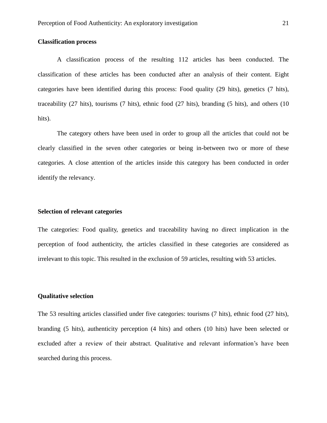## <span id="page-20-0"></span>**Classification process**

A classification process of the resulting 112 articles has been conducted. The classification of these articles has been conducted after an analysis of their content. Eight categories have been identified during this process: Food quality (29 hits), genetics (7 hits), traceability (27 hits), tourisms (7 hits), ethnic food (27 hits), branding (5 hits), and others (10 hits).

The category others have been used in order to group all the articles that could not be clearly classified in the seven other categories or being in-between two or more of these categories. A close attention of the articles inside this category has been conducted in order identify the relevancy.

## <span id="page-20-1"></span>**Selection of relevant categories**

The categories: Food quality, genetics and traceability having no direct implication in the perception of food authenticity, the articles classified in these categories are considered as irrelevant to this topic. This resulted in the exclusion of 59 articles, resulting with 53 articles.

#### <span id="page-20-2"></span>**Qualitative selection**

The 53 resulting articles classified under five categories: tourisms (7 hits), ethnic food (27 hits), branding (5 hits), authenticity perception (4 hits) and others (10 hits) have been selected or excluded after a review of their abstract. Qualitative and relevant information's have been searched during this process.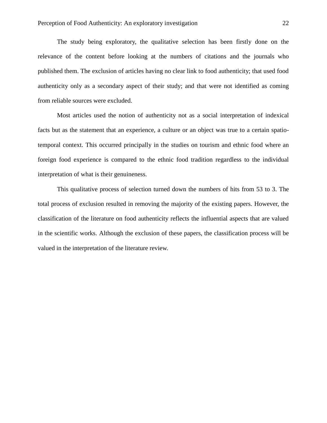The study being exploratory, the qualitative selection has been firstly done on the relevance of the content before looking at the numbers of citations and the journals who published them. The exclusion of articles having no clear link to food authenticity; that used food authenticity only as a secondary aspect of their study; and that were not identified as coming from reliable sources were excluded.

Most articles used the notion of authenticity not as a social interpretation of indexical facts but as the statement that an experience, a culture or an object was true to a certain spatiotemporal context. This occurred principally in the studies on tourism and ethnic food where an foreign food experience is compared to the ethnic food tradition regardless to the individual interpretation of what is their genuineness.

This qualitative process of selection turned down the numbers of hits from 53 to 3. The total process of exclusion resulted in removing the majority of the existing papers. However, the classification of the literature on food authenticity reflects the influential aspects that are valued in the scientific works. Although the exclusion of these papers, the classification process will be valued in the interpretation of the literature review.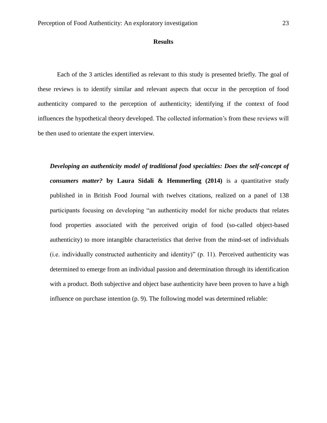#### **Results**

<span id="page-22-0"></span>Each of the 3 articles identified as relevant to this study is presented briefly. The goal of these reviews is to identify similar and relevant aspects that occur in the perception of food authenticity compared to the perception of authenticity; identifying if the context of food influences the hypothetical theory developed. The collected information's from these reviews will be then used to orientate the expert interview.

*Developing an authenticity model of traditional food specialties: Does the self-concept of consumers matter?* **by Laura Sidali & Hemmerling (2014)** is a quantitative study published in in British Food Journal with twelves citations, realized on a panel of 138 participants focusing on developing "an authenticity model for niche products that relates food properties associated with the perceived origin of food (so-called object-based authenticity) to more intangible characteristics that derive from the mind-set of individuals (i.e. individually constructed authenticity and identity)" (p. 11). Perceived authenticity was determined to emerge from an individual passion and determination through its identification with a product. Both subjective and object base authenticity have been proven to have a high influence on purchase intention (p. 9). The following model was determined reliable: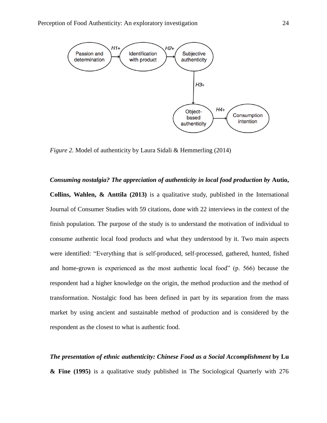

*Figure 2.* Model of authenticity by Laura Sidali & Hemmerling (2014)

*Consuming nostalgia? The appreciation of authenticity in local food production by Autio,* **Collins, Wahlen, & Anttila (2013)** is a qualitative study, published in the International Journal of Consumer Studies with 59 citations, done with 22 interviews in the context of the finish population. The purpose of the study is to understand the motivation of individual to consume authentic local food products and what they understood by it. Two main aspects were identified: "Everything that is self-produced, self-processed, gathered, hunted, fished and home-grown is experienced as the most authentic local food" (p. 566) because the respondent had a higher knowledge on the origin, the method production and the method of transformation. Nostalgic food has been defined in part by its separation from the mass market by using ancient and sustainable method of production and is considered by the respondent as the closest to what is authentic food.

*The presentation of ethnic authenticity: Chinese Food as a Social Accomplishment* **by Lu & Fine (1995)** is a qualitative study published in The Sociological Quarterly with 276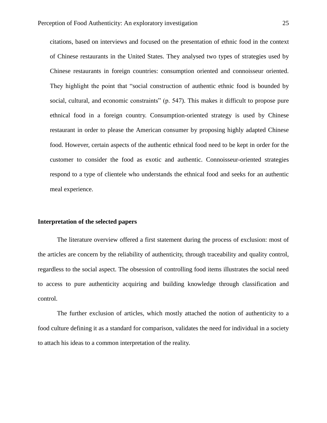citations, based on interviews and focused on the presentation of ethnic food in the context of Chinese restaurants in the United States. They analysed two types of strategies used by Chinese restaurants in foreign countries: consumption oriented and connoisseur oriented. They highlight the point that "social construction of authentic ethnic food is bounded by social, cultural, and economic constraints" (p. 547). This makes it difficult to propose pure ethnical food in a foreign country. Consumption-oriented strategy is used by Chinese restaurant in order to please the American consumer by proposing highly adapted Chinese food. However, certain aspects of the authentic ethnical food need to be kept in order for the customer to consider the food as exotic and authentic. Connoisseur-oriented strategies respond to a type of clientele who understands the ethnical food and seeks for an authentic meal experience.

#### <span id="page-24-0"></span>**Interpretation of the selected papers**

The literature overview offered a first statement during the process of exclusion: most of the articles are concern by the reliability of authenticity, through traceability and quality control, regardless to the social aspect. The obsession of controlling food items illustrates the social need to access to pure authenticity acquiring and building knowledge through classification and control.

The further exclusion of articles, which mostly attached the notion of authenticity to a food culture defining it as a standard for comparison, validates the need for individual in a society to attach his ideas to a common interpretation of the reality.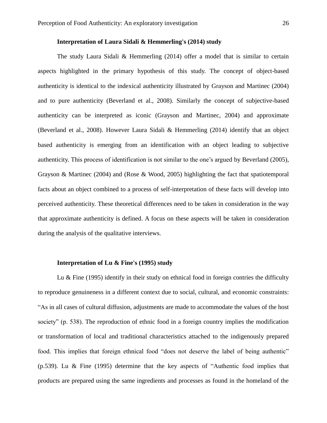## **Interpretation of Laura Sidali & Hemmerling's (2014) study**

<span id="page-25-0"></span>The study Laura Sidali & Hemmerling  $(2014)$  offer a model that is similar to certain aspects highlighted in the primary hypothesis of this study. The concept of object-based authenticity is identical to the indexical authenticity illustrated by Grayson and Martinec (2004) and to pure authenticity (Beverland et al., 2008). Similarly the concept of subjective-based authenticity can be interpreted as iconic (Grayson and Martinec, 2004) and approximate (Beverland et al., 2008). However Laura Sidali & Hemmerling (2014) identify that an object based authenticity is emerging from an identification with an object leading to subjective authenticity. This process of identification is not similar to the one's argued by Beverland (2005), Grayson & Martinec (2004) and (Rose & Wood, 2005) highlighting the fact that spatiotemporal facts about an object combined to a process of self-interpretation of these facts will develop into perceived authenticity. These theoretical differences need to be taken in consideration in the way that approximate authenticity is defined. A focus on these aspects will be taken in consideration during the analysis of the qualitative interviews.

### **Interpretation of Lu & Fine's (1995) study**

<span id="page-25-1"></span>Lu  $\&$  Fine (1995) identify in their study on ethnical food in foreign contries the difficulty to reproduce genuineness in a different context due to social, cultural, and economic constraints: "As in all cases of cultural diffusion, adjustments are made to accommodate the values of the host society" (p. 538). The reproduction of ethnic food in a foreign country implies the modification or transformation of local and traditional characteristics attached to the indigenously prepared food. This implies that foreign ethnical food "does not deserve the label of being authentic" (p.539). Lu & Fine (1995) determine that the key aspects of "Authentic food implies that products are prepared using the same ingredients and processes as found in the homeland of the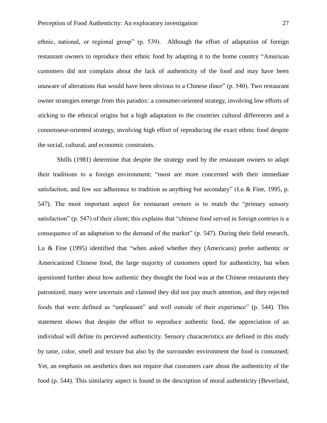ethnic, national, or regional group" (p. 539). Although the effort of adaptation of foreign restaurant owners to reproduce their ethnic food by adapting it to the home country "American customers did not complain about the lack of authenticity of the food and may have been unaware of alterations that would have been obvious to a Chinese diner" (p. 540). Two restaurant owner strategies emerge from this paradox: a consumer-oriented strategy, involving low efforts of sticking to the ethnical origins but a high adaptation to the countries cultural differences and a connoisseur-oriented strategy, involving high effort of reproducing the exact ethnic food despite the social, cultural, and economic constraints.

Shills (1981) determine that despite the strategy used by the restaurant owners to adapt their traditions to a foreign environment; "most are more concerned with their immediate satisfaction, and few see adherence to tradition as anything but secondary" (Lu & Fine, 1995, p. 547). The most important aspect for restaurant owners is to match the "primary sensory satisfaction" (p. 547) of their client; this explains that "chinese food served in foreign contries is a consequence of an adaptation to the demand of the market" (p. 547). During their field research, Lu & Fine (1995) identified that "when asked whether they (Americans) prefer authentic or Americanized Chinese food, the large majority of customers opted for authenticity, but when questioned further about how authentic they thought the food was at the Chinese restaurants they patronized, many were uncertain and claimed they did not pay much attention, and they rejected foods that were defined as "unpleasant" and well outside of their experience" (p. 544). This statement shows that despite the effort to reproduce authentic food, the appreciation of an individual will define its percieved authenticity. Sensory characteristics are defined in this study by taste, color, smell and texture but also by the surrounder environment the food is consumed; Yet, an emphasis on aesthetics does not require that customers care about the authenticity of the food (p. 544). This similarity aspect is found in the description of moral authenticity (Beverland,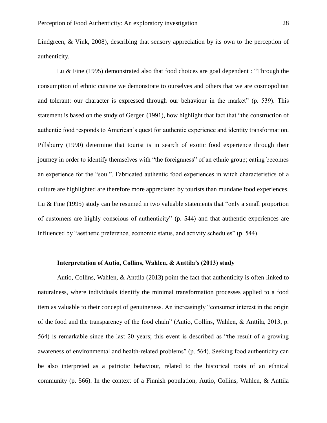Lindgreen, & Vink, 2008), describing that sensory appreciation by its own to the perception of authenticity.

Lu & Fine (1995) demonstrated also that food choices are goal dependent : "Through the consumption of ethnic cuisine we demonstrate to ourselves and others that we are cosmopolitan and tolerant: our character is expressed through our behaviour in the market" (p. 539). This statement is based on the study of Gergen (1991), how highlight that fact that "the construction of authentic food responds to American's quest for authentic experience and identity transformation. Pillsburry (1990) determine that tourist is in search of exotic food experience through their journey in order to identify themselves with "the foreignness" of an ethnic group; eating becomes an experience for the "soul". Fabricated authentic food experiences in witch characteristics of a culture are highlighted are therefore more appreciated by tourists than mundane food experiences. Lu & Fine (1995) study can be resumed in two valuable statements that "only a small proportion of customers are highly conscious of authenticity" (p. 544) and that authentic experiences are influenced by "aesthetic preference, economic status, and activity schedules" (p. 544).

### **Interpretation of Autio, Collins, Wahlen, & Anttila's (2013) study**

<span id="page-27-0"></span>Autio, Collins, Wahlen, & Anttila (2013) point the fact that authenticity is often linked to naturalness, where individuals identify the minimal transformation processes applied to a food item as valuable to their concept of genuineness. An increasingly "consumer interest in the origin of the food and the transparency of the food chain" (Autio, Collins, Wahlen, & Anttila, 2013, p. 564) is remarkable since the last 20 years; this event is described as "the result of a growing awareness of environmental and health-related problems" (p. 564). Seeking food authenticity can be also interpreted as a patriotic behaviour, related to the historical roots of an ethnical community (p. 566). In the context of a Finnish population, Autio, Collins, Wahlen, & Anttila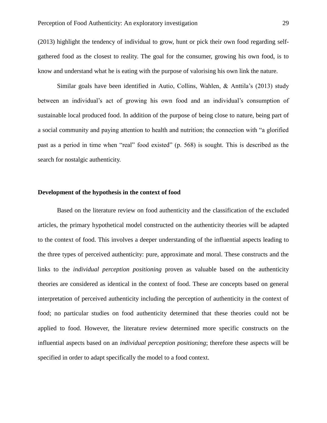(2013) highlight the tendency of individual to grow, hunt or pick their own food regarding selfgathered food as the closest to reality. The goal for the consumer, growing his own food, is to know and understand what he is eating with the purpose of valorising his own link the nature.

Similar goals have been identified in Autio, Collins, Wahlen, & Anttila's (2013) study between an individual's act of growing his own food and an individual's consumption of sustainable local produced food. In addition of the purpose of being close to nature, being part of a social community and paying attention to health and nutrition; the connection with "a glorified past as a period in time when "real" food existed" (p. 568) is sought. This is described as the search for nostalgic authenticity.

### <span id="page-28-0"></span>**Development of the hypothesis in the context of food**

Based on the literature review on food authenticity and the classification of the excluded articles, the primary hypothetical model constructed on the authenticity theories will be adapted to the context of food. This involves a deeper understanding of the influential aspects leading to the three types of perceived authenticity: pure, approximate and moral. These constructs and the links to the *individual perception positioning* proven as valuable based on the authenticity theories are considered as identical in the context of food. These are concepts based on general interpretation of perceived authenticity including the perception of authenticity in the context of food; no particular studies on food authenticity determined that these theories could not be applied to food. However, the literature review determined more specific constructs on the influential aspects based on an *individual perception positioning*; therefore these aspects will be specified in order to adapt specifically the model to a food context.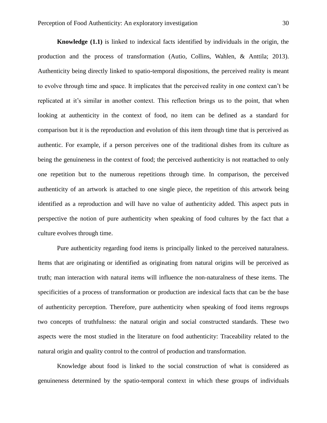<span id="page-29-0"></span>**Knowledge (1.1)** is linked to indexical facts identified by individuals in the origin, the production and the process of transformation (Autio, Collins, Wahlen, & Anttila; 2013). Authenticity being directly linked to spatio-temporal dispositions, the perceived reality is meant to evolve through time and space. It implicates that the perceived reality in one context can't be replicated at it's similar in another context. This reflection brings us to the point, that when looking at authenticity in the context of food, no item can be defined as a standard for comparison but it is the reproduction and evolution of this item through time that is perceived as authentic. For example, if a person perceives one of the traditional dishes from its culture as being the genuineness in the context of food; the perceived authenticity is not reattached to only one repetition but to the numerous repetitions through time. In comparison, the perceived authenticity of an artwork is attached to one single piece, the repetition of this artwork being identified as a reproduction and will have no value of authenticity added. This aspect puts in perspective the notion of pure authenticity when speaking of food cultures by the fact that a culture evolves through time.

Pure authenticity regarding food items is principally linked to the perceived naturalness. Items that are originating or identified as originating from natural origins will be perceived as truth; man interaction with natural items will influence the non-naturalness of these items. The specificities of a process of transformation or production are indexical facts that can be the base of authenticity perception. Therefore, pure authenticity when speaking of food items regroups two concepts of truthfulness: the natural origin and social constructed standards. These two aspects were the most studied in the literature on food authenticity: Traceability related to the natural origin and quality control to the control of production and transformation.

Knowledge about food is linked to the social construction of what is considered as genuineness determined by the spatio-temporal context in which these groups of individuals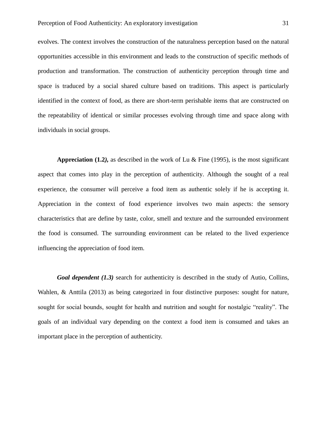evolves. The context involves the construction of the naturalness perception based on the natural opportunities accessible in this environment and leads to the construction of specific methods of production and transformation. The construction of authenticity perception through time and space is traduced by a social shared culture based on traditions. This aspect is particularly identified in the context of food, as there are short-term perishable items that are constructed on the repeatability of identical or similar processes evolving through time and space along with individuals in social groups.

<span id="page-30-0"></span>**Appreciation (1.2***),* as described in the work of Lu & Fine (1995), is the most significant aspect that comes into play in the perception of authenticity. Although the sought of a real experience, the consumer will perceive a food item as authentic solely if he is accepting it. Appreciation in the context of food experience involves two main aspects: the sensory characteristics that are define by taste, color, smell and texture and the surrounded environment the food is consumed. The surrounding environment can be related to the lived experience influencing the appreciation of food item.

*Goal dependent (1.3)* search for authenticity is described in the study of Autio, Collins, Wahlen, & Anttila (2013) as being categorized in four distinctive purposes: sought for nature, sought for social bounds, sought for health and nutrition and sought for nostalgic "reality". The goals of an individual vary depending on the context a food item is consumed and takes an important place in the perception of authenticity.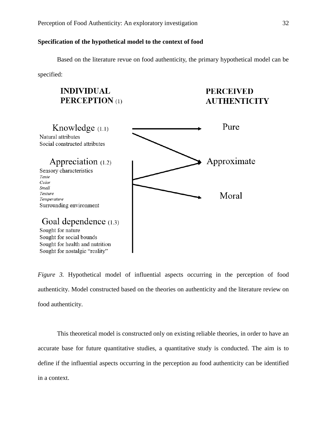## <span id="page-31-0"></span>**Specification of the hypothetical model to the context of food**

Based on the literature revue on food authenticity, the primary hypothetical model can be

specified:

# **INDIVIDUAL PERCEPTION**(1)

# **PERCEIVED AUTHENTICITY**



*Figure 3.* Hypothetical model of influential aspects occurring in the perception of food authenticity. Model constructed based on the theories on authenticity and the literature review on food authenticity.

This theoretical model is constructed only on existing reliable theories, in order to have an accurate base for future quantitative studies, a quantitative study is conducted. The aim is to define if the influential aspects occurring in the perception au food authenticity can be identified in a context.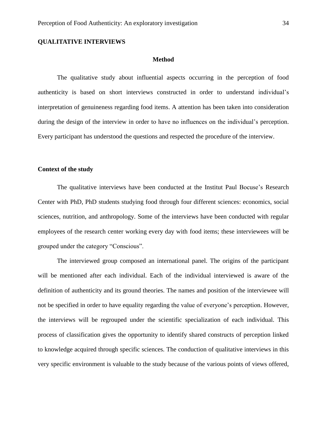## <span id="page-33-1"></span><span id="page-33-0"></span>**QUALITATIVE INTERVIEWS**

#### **Method**

The qualitative study about influential aspects occurring in the perception of food authenticity is based on short interviews constructed in order to understand individual's interpretation of genuineness regarding food items. A attention has been taken into consideration during the design of the interview in order to have no influences on the individual's perception. Every participant has understood the questions and respected the procedure of the interview.

#### <span id="page-33-2"></span>**Context of the study**

The qualitative interviews have been conducted at the Institut Paul Bocuse's Research Center with PhD, PhD students studying food through four different sciences: economics, social sciences, nutrition, and anthropology. Some of the interviews have been conducted with regular employees of the research center working every day with food items; these interviewees will be grouped under the category "Conscious".

The interviewed group composed an international panel. The origins of the participant will be mentioned after each individual. Each of the individual interviewed is aware of the definition of authenticity and its ground theories. The names and position of the interviewee will not be specified in order to have equality regarding the value of everyone's perception. However, the interviews will be regrouped under the scientific specialization of each individual. This process of classification gives the opportunity to identify shared constructs of perception linked to knowledge acquired through specific sciences. The conduction of qualitative interviews in this very specific environment is valuable to the study because of the various points of views offered,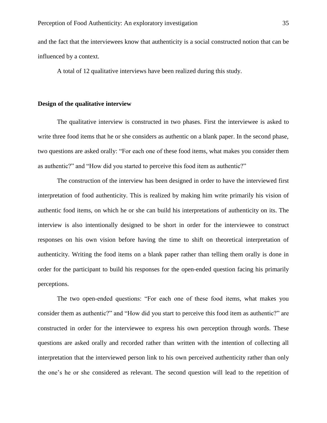and the fact that the interviewees know that authenticity is a social constructed notion that can be influenced by a context.

A total of 12 qualitative interviews have been realized during this study.

#### <span id="page-34-0"></span>**Design of the qualitative interview**

The qualitative interview is constructed in two phases. First the interviewee is asked to write three food items that he or she considers as authentic on a blank paper. In the second phase, two questions are asked orally: "For each one of these food items, what makes you consider them as authentic?" and "How did you started to perceive this food item as authentic?"

The construction of the interview has been designed in order to have the interviewed first interpretation of food authenticity. This is realized by making him write primarily his vision of authentic food items, on which he or she can build his interpretations of authenticity on its. The interview is also intentionally designed to be short in order for the interviewee to construct responses on his own vision before having the time to shift on theoretical interpretation of authenticity. Writing the food items on a blank paper rather than telling them orally is done in order for the participant to build his responses for the open-ended question facing his primarily perceptions.

The two open-ended questions: "For each one of these food items, what makes you consider them as authentic?" and "How did you start to perceive this food item as authentic?" are constructed in order for the interviewee to express his own perception through words. These questions are asked orally and recorded rather than written with the intention of collecting all interpretation that the interviewed person link to his own perceived authenticity rather than only the one's he or she considered as relevant. The second question will lead to the repetition of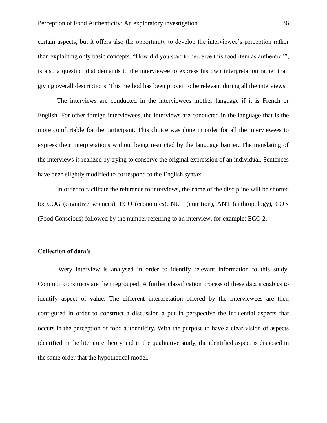certain aspects, but it offers also the opportunity to develop the interviewee's perception rather than explaining only basic concepts. "How did you start to perceive this food item as authentic?", is also a question that demands to the interviewee to express his own interpretation rather than giving overall descriptions. This method has been proven to be relevant during all the interviews.

The interviews are conducted in the interviewees mother language if it is French or English. For other foreign interviewees, the interviews are conducted in the language that is the more comfortable for the participant. This choice was done in order for all the interviewees to express their interpretations without being restricted by the language barrier. The translating of the interviews is realized by trying to conserve the original expression of an individual. Sentences have been slightly modified to correspond to the English syntax.

In order to facilitate the reference to interviews, the name of the discipline will be shorted to: COG (cognitive sciences), ECO (economics), NUT (nutrition), ANT (anthropology), CON (Food Conscious) followed by the number referring to an interview, for example: ECO 2.

#### <span id="page-35-0"></span>**Collection of data's**

Every interview is analysed in order to identify relevant information to this study. Common constructs are then regrouped. A further classification process of these data's enables to identify aspect of value. The different interpretation offered by the interviewees are then configured in order to construct a discussion a put in perspective the influential aspects that occurs in the perception of food authenticity. With the purpose to have a clear vision of aspects identified in the literature theory and in the qualitative study, the identified aspect is disposed in the same order that the hypothetical model.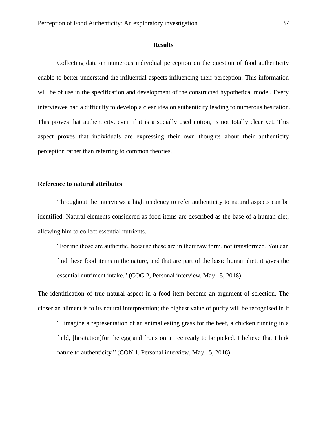### **Results**

Collecting data on numerous individual perception on the question of food authenticity enable to better understand the influential aspects influencing their perception. This information will be of use in the specification and development of the constructed hypothetical model. Every interviewee had a difficulty to develop a clear idea on authenticity leading to numerous hesitation. This proves that authenticity, even if it is a socially used notion, is not totally clear yet. This aspect proves that individuals are expressing their own thoughts about their authenticity perception rather than referring to common theories.

## **Reference to natural attributes**

Throughout the interviews a high tendency to refer authenticity to natural aspects can be identified. Natural elements considered as food items are described as the base of a human diet, allowing him to collect essential nutrients.

"For me those are authentic, because these are in their raw form, not transformed. You can find these food items in the nature, and that are part of the basic human diet, it gives the essential nutriment intake." (COG 2, Personal interview, May 15, 2018)

The identification of true natural aspect in a food item become an argument of selection. The closer an aliment is to its natural interpretation; the highest value of purity will be recognised in it.

"I imagine a representation of an animal eating grass for the beef, a chicken running in a field, [hesitation]for the egg and fruits on a tree ready to be picked. I believe that I link nature to authenticity." (CON 1, Personal interview, May 15, 2018)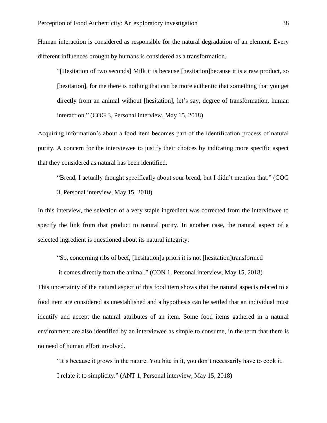Human interaction is considered as responsible for the natural degradation of an element. Every different influences brought by humans is considered as a transformation.

"[Hesitation of two seconds] Milk it is because [hesitation]because it is a raw product, so [hesitation], for me there is nothing that can be more authentic that something that you get directly from an animal without [hesitation], let's say, degree of transformation, human interaction." (COG 3, Personal interview, May 15, 2018)

Acquiring information's about a food item becomes part of the identification process of natural purity. A concern for the interviewee to justify their choices by indicating more specific aspect that they considered as natural has been identified.

"Bread, I actually thought specifically about sour bread, but I didn't mention that." (COG 3, Personal interview, May 15, 2018)

In this interview, the selection of a very staple ingredient was corrected from the interviewee to specify the link from that product to natural purity. In another case, the natural aspect of a selected ingredient is questioned about its natural integrity:

"So, concerning ribs of beef, [hesitation]a priori it is not [hesitation]transformed

it comes directly from the animal." (CON 1, Personal interview, May 15, 2018)

This uncertainty of the natural aspect of this food item shows that the natural aspects related to a food item are considered as unestablished and a hypothesis can be settled that an individual must identify and accept the natural attributes of an item. Some food items gathered in a natural environment are also identified by an interviewee as simple to consume, in the term that there is no need of human effort involved.

"It's because it grows in the nature. You bite in it, you don't necessarily have to cook it. I relate it to simplicity." (ANT 1, Personal interview, May 15, 2018)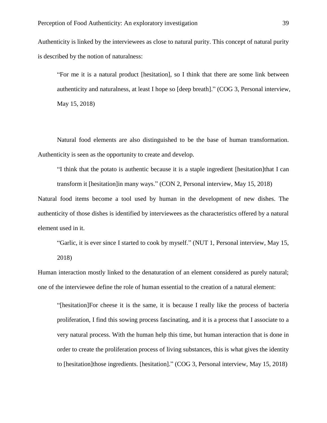Authenticity is linked by the interviewees as close to natural purity. This concept of natural purity is described by the notion of naturalness:

"For me it is a natural product [hesitation], so I think that there are some link between authenticity and naturalness, at least I hope so [deep breath]." (COG 3, Personal interview, May 15, 2018)

Natural food elements are also distinguished to be the base of human transformation. Authenticity is seen as the opportunity to create and develop.

"I think that the potato is authentic because it is a staple ingredient [hesitation]that I can transform it [hesitation]in many ways." (CON 2, Personal interview, May 15, 2018)

Natural food items become a tool used by human in the development of new dishes. The authenticity of those dishes is identified by interviewees as the characteristics offered by a natural element used in it.

"Garlic, it is ever since I started to cook by myself." (NUT 1, Personal interview, May 15, 2018)

Human interaction mostly linked to the denaturation of an element considered as purely natural; one of the interviewee define the role of human essential to the creation of a natural element:

"[hesitation]For cheese it is the same, it is because I really like the process of bacteria proliferation, I find this sowing process fascinating, and it is a process that I associate to a very natural process. With the human help this time, but human interaction that is done in order to create the proliferation process of living substances, this is what gives the identity to [hesitation]those ingredients. [hesitation]." (COG 3, Personal interview, May 15, 2018)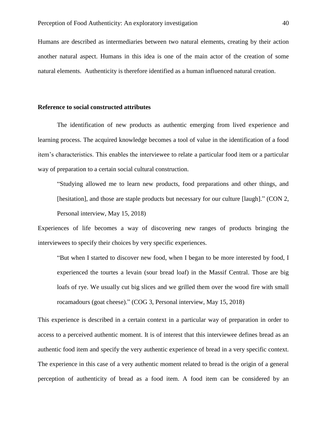Humans are described as intermediaries between two natural elements, creating by their action another natural aspect. Humans in this idea is one of the main actor of the creation of some natural elements. Authenticity is therefore identified as a human influenced natural creation.

#### **Reference to social constructed attributes**

The identification of new products as authentic emerging from lived experience and learning process. The acquired knowledge becomes a tool of value in the identification of a food item's characteristics. This enables the interviewee to relate a particular food item or a particular way of preparation to a certain social cultural construction.

"Studying allowed me to learn new products, food preparations and other things, and [hesitation], and those are staple products but necessary for our culture [laugh]." (CON 2, Personal interview, May 15, 2018)

Experiences of life becomes a way of discovering new ranges of products bringing the interviewees to specify their choices by very specific experiences.

"But when I started to discover new food, when I began to be more interested by food, I experienced the tourtes a levain (sour bread loaf) in the Massif Central. Those are big loafs of rye. We usually cut big slices and we grilled them over the wood fire with small rocamadours (goat cheese)." (COG 3, Personal interview, May 15, 2018)

This experience is described in a certain context in a particular way of preparation in order to access to a perceived authentic moment. It is of interest that this interviewee defines bread as an authentic food item and specify the very authentic experience of bread in a very specific context. The experience in this case of a very authentic moment related to bread is the origin of a general perception of authenticity of bread as a food item. A food item can be considered by an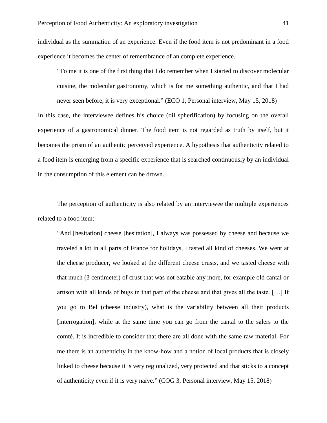individual as the summation of an experience. Even if the food item is not predominant in a food experience it becomes the center of remembrance of an complete experience.

"To me it is one of the first thing that I do remember when I started to discover molecular cuisine, the molecular gastronomy, which is for me something authentic, and that I had never seen before, it is very exceptional." (ECO 1, Personal interview, May 15, 2018) In this case, the interviewee defines his choice (oil spherification) by focusing on the overall experience of a gastronomical dinner. The food item is not regarded as truth by itself, but it becomes the prism of an authentic perceived experience. A hypothesis that authenticity related to a food item is emerging from a specific experience that is searched continuously by an individual in the consumption of this element can be drown.

The perception of authenticity is also related by an interviewee the multiple experiences related to a food item:

"And [hesitation] cheese [hesitation], I always was possessed by cheese and because we traveled a lot in all parts of France for holidays, I tasted all kind of cheeses. We went at the cheese producer, we looked at the different cheese crusts, and we tasted cheese with that much (3 centimeter) of crust that was not eatable any more, for example old cantal or artison with all kinds of bugs in that part of the cheese and that gives all the taste. […] If you go to Bel (cheese industry), what is the variability between all their products [interrogation], while at the same time you can go from the cantal to the salers to the comté. It is incredible to consider that there are all done with the same raw material. For me there is an authenticity in the know-how and a notion of local products that is closely linked to cheese because it is very regionalized, very protected and that sticks to a concept of authenticity even if it is very naïve." (COG 3, Personal interview, May 15, 2018)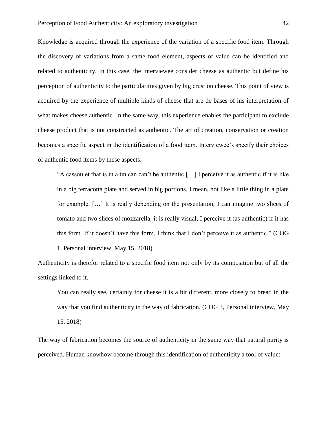Knowledge is acquired through the experience of the variation of a specific food item. Through the discovery of variations from a same food element, aspects of value can be identified and related to authenticity. In this case, the interviewee consider cheese as authentic but define his perception of authenticity to the particularities given by big crust on cheese. This point of view is acquired by the experience of multiple kinds of cheese that are de bases of his interpretation of what makes cheese authentic. In the same way, this experience enables the participant to exclude cheese product that is not constructed as authentic. The art of creation, conservation or creation becomes a specific aspect in the identification of a food item. Interviewee's specify their choices of authentic food items by these aspects:

"A cassoulet that is in a tin can can't be authentic […] I perceive it as authentic if it is like in a big terracotta plate and served in big portions. I mean, not like a little thing in a plate for example. […] It is really depending on the presentation; I can imagine two slices of tomato and two slices of mozzarella, it is really visual, I perceive it (as authentic) if it has this form. If it doesn't have this form, I think that I don't perceive it as authentic." (COG 1, Personal interview, May 15, 2018)

Authenticity is therefor related to a specific food item not only by its composition but of all the settings linked to it.

You can really see, certainly for cheese it is a bit different, more closely to bread in the way that you find authenticity in the way of fabrication. (COG 3, Personal interview, May 15, 2018)

The way of fabrication becomes the source of authenticity in the same way that natural purity is perceived. Human knowhow become through this identification of authenticity a tool of value: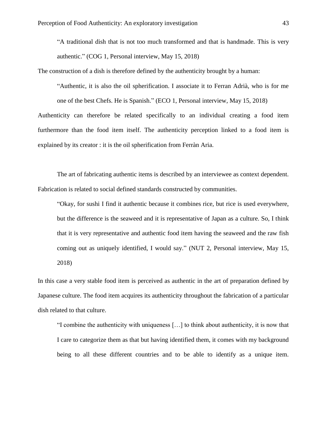"A traditional dish that is not too much transformed and that is handmade. This is very authentic." (COG 1, Personal interview, May 15, 2018)

The construction of a dish is therefore defined by the authenticity brought by a human:

"Authentic, it is also the oil spherification. I associate it to Ferran Adrià, who is for me one of the best Chefs. He is Spanish." (ECO 1, Personal interview, May 15, 2018) Authenticity can therefore be related specifically to an individual creating a food item furthermore than the food item itself. The authenticity perception linked to a food item is explained by its creator : it is the oil spherification from Ferràn Aria.

The art of fabricating authentic items is described by an interviewee as context dependent. Fabrication is related to social defined standards constructed by communities.

"Okay, for sushi I find it authentic because it combines rice, but rice is used everywhere, but the difference is the seaweed and it is representative of Japan as a culture. So, I think that it is very representative and authentic food item having the seaweed and the raw fish coming out as uniquely identified, I would say." (NUT 2, Personal interview, May 15, 2018)

In this case a very stable food item is perceived as authentic in the art of preparation defined by Japanese culture. The food item acquires its authenticity throughout the fabrication of a particular dish related to that culture.

"I combine the authenticity with uniqueness […] to think about authenticity, it is now that I care to categorize them as that but having identified them, it comes with my background being to all these different countries and to be able to identify as a unique item.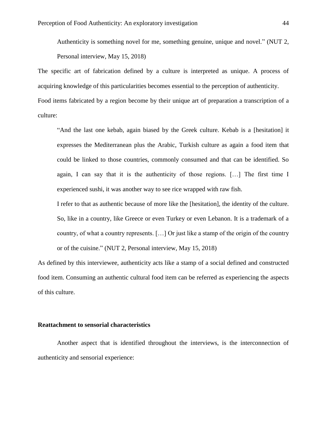Authenticity is something novel for me, something genuine, unique and novel." (NUT 2, Personal interview, May 15, 2018)

The specific art of fabrication defined by a culture is interpreted as unique. A process of acquiring knowledge of this particularities becomes essential to the perception of authenticity. Food items fabricated by a region become by their unique art of preparation a transcription of a culture:

"And the last one kebab, again biased by the Greek culture. Kebab is a [hesitation] it expresses the Mediterranean plus the Arabic, Turkish culture as again a food item that could be linked to those countries, commonly consumed and that can be identified. So again, I can say that it is the authenticity of those regions. […] The first time I experienced sushi, it was another way to see rice wrapped with raw fish.

I refer to that as authentic because of more like the [hesitation], the identity of the culture. So, like in a country, like Greece or even Turkey or even Lebanon. It is a trademark of a country, of what a country represents. […] Or just like a stamp of the origin of the country or of the cuisine." (NUT 2, Personal interview, May 15, 2018)

As defined by this interviewee, authenticity acts like a stamp of a social defined and constructed food item. Consuming an authentic cultural food item can be referred as experiencing the aspects of this culture.

### **Reattachment to sensorial characteristics**

Another aspect that is identified throughout the interviews, is the interconnection of authenticity and sensorial experience: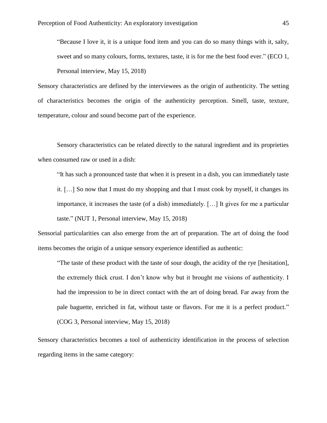"Because I love it, it is a unique food item and you can do so many things with it, salty, sweet and so many colours, forms, textures, taste, it is for me the best food ever." (ECO 1, Personal interview, May 15, 2018)

Sensory characteristics are defined by the interviewees as the origin of authenticity. The setting of characteristics becomes the origin of the authenticity perception. Smell, taste, texture, temperature, colour and sound become part of the experience.

Sensory characteristics can be related directly to the natural ingredient and its proprieties when consumed raw or used in a dish:

"It has such a pronounced taste that when it is present in a dish, you can immediately taste it. […] So now that I must do my shopping and that I must cook by myself, it changes its importance, it increases the taste (of a dish) immediately. […] It gives for me a particular taste." (NUT 1, Personal interview, May 15, 2018)

Sensorial particularities can also emerge from the art of preparation. The art of doing the food items becomes the origin of a unique sensory experience identified as authentic:

"The taste of these product with the taste of sour dough, the acidity of the rye [hesitation], the extremely thick crust. I don't know why but it brought me visions of authenticity. I had the impression to be in direct contact with the art of doing bread. Far away from the pale baguette, enriched in fat, without taste or flavors. For me it is a perfect product." (COG 3, Personal interview, May 15, 2018)

Sensory characteristics becomes a tool of authenticity identification in the process of selection regarding items in the same category: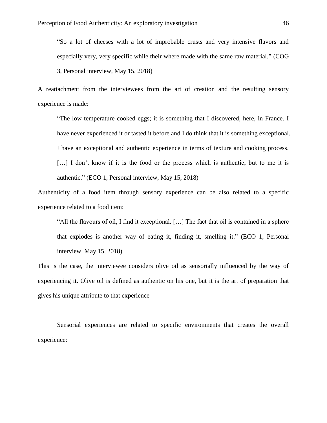"So a lot of cheeses with a lot of improbable crusts and very intensive flavors and especially very, very specific while their where made with the same raw material." (COG 3, Personal interview, May 15, 2018)

A reattachment from the interviewees from the art of creation and the resulting sensory experience is made:

"The low temperature cooked eggs; it is something that I discovered, here, in France. I have never experienced it or tasted it before and I do think that it is something exceptional. I have an exceptional and authentic experience in terms of texture and cooking process. [...] I don't know if it is the food or the process which is authentic, but to me it is authentic." (ECO 1, Personal interview, May 15, 2018)

Authenticity of a food item through sensory experience can be also related to a specific experience related to a food item:

"All the flavours of oil, I find it exceptional. […] The fact that oil is contained in a sphere that explodes is another way of eating it, finding it, smelling it." (ECO 1, Personal interview, May 15, 2018)

This is the case, the interviewee considers olive oil as sensorially influenced by the way of experiencing it. Olive oil is defined as authentic on his one, but it is the art of preparation that gives his unique attribute to that experience

Sensorial experiences are related to specific environments that creates the overall experience: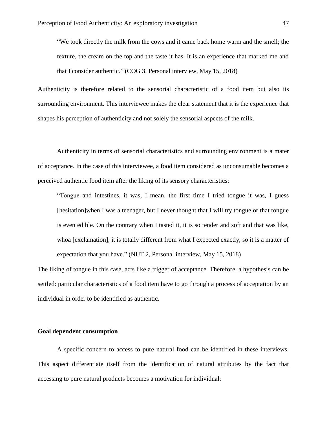"We took directly the milk from the cows and it came back home warm and the smell; the texture, the cream on the top and the taste it has. It is an experience that marked me and that I consider authentic." (COG 3, Personal interview, May 15, 2018)

Authenticity is therefore related to the sensorial characteristic of a food item but also its surrounding environment. This interviewee makes the clear statement that it is the experience that shapes his perception of authenticity and not solely the sensorial aspects of the milk.

Authenticity in terms of sensorial characteristics and surrounding environment is a mater of acceptance. In the case of this interviewee, a food item considered as unconsumable becomes a perceived authentic food item after the liking of its sensory characteristics:

"Tongue and intestines, it was, I mean, the first time I tried tongue it was, I guess [hesitation]when I was a teenager, but I never thought that I will try tongue or that tongue is even edible. On the contrary when I tasted it, it is so tender and soft and that was like, whoa [exclamation], it is totally different from what I expected exactly, so it is a matter of expectation that you have." (NUT 2, Personal interview, May 15, 2018)

The liking of tongue in this case, acts like a trigger of acceptance. Therefore, a hypothesis can be settled: particular characteristics of a food item have to go through a process of acceptation by an individual in order to be identified as authentic.

# **Goal dependent consumption**

A specific concern to access to pure natural food can be identified in these interviews. This aspect differentiate itself from the identification of natural attributes by the fact that accessing to pure natural products becomes a motivation for individual: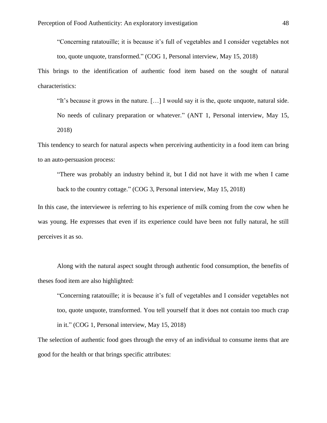"Concerning ratatouille; it is because it's full of vegetables and I consider vegetables not too, quote unquote, transformed." (COG 1, Personal interview, May 15, 2018)

This brings to the identification of authentic food item based on the sought of natural characteristics:

"It's because it grows in the nature. […] I would say it is the, quote unquote, natural side.

No needs of culinary preparation or whatever." (ANT 1, Personal interview, May 15, 2018)

This tendency to search for natural aspects when perceiving authenticity in a food item can bring to an auto-persuasion process:

"There was probably an industry behind it, but I did not have it with me when I came back to the country cottage." (COG 3, Personal interview, May 15, 2018)

In this case, the interviewee is referring to his experience of milk coming from the cow when he was young. He expresses that even if its experience could have been not fully natural, he still perceives it as so.

Along with the natural aspect sought through authentic food consumption, the benefits of theses food item are also highlighted:

"Concerning ratatouille; it is because it's full of vegetables and I consider vegetables not too, quote unquote, transformed. You tell yourself that it does not contain too much crap in it." (COG 1, Personal interview, May 15, 2018)

The selection of authentic food goes through the envy of an individual to consume items that are good for the health or that brings specific attributes: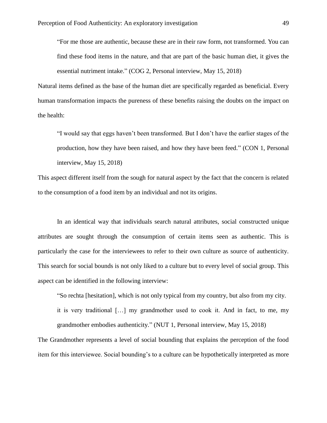"For me those are authentic, because these are in their raw form, not transformed. You can find these food items in the nature, and that are part of the basic human diet, it gives the essential nutriment intake." (COG 2, Personal interview, May 15, 2018)

Natural items defined as the base of the human diet are specifically regarded as beneficial. Every human transformation impacts the pureness of these benefits raising the doubts on the impact on the health:

"I would say that eggs haven't been transformed. But I don't have the earlier stages of the production, how they have been raised, and how they have been feed." (CON 1, Personal interview, May 15, 2018)

This aspect different itself from the sough for natural aspect by the fact that the concern is related to the consumption of a food item by an individual and not its origins.

In an identical way that individuals search natural attributes, social constructed unique attributes are sought through the consumption of certain items seen as authentic. This is particularly the case for the interviewees to refer to their own culture as source of authenticity. This search for social bounds is not only liked to a culture but to every level of social group. This aspect can be identified in the following interview:

"So rechta [hesitation], which is not only typical from my country, but also from my city.

it is very traditional […] my grandmother used to cook it. And in fact, to me, my grandmother embodies authenticity." (NUT 1, Personal interview, May 15, 2018)

The Grandmother represents a level of social bounding that explains the perception of the food item for this interviewee. Social bounding's to a culture can be hypothetically interpreted as more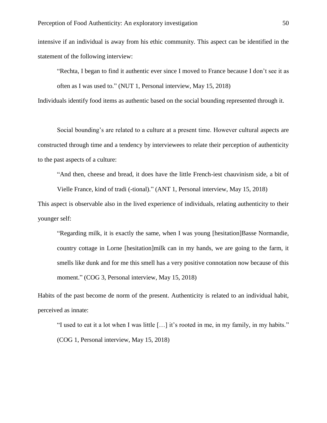intensive if an individual is away from his ethic community. This aspect can be identified in the statement of the following interview:

"Rechta, I began to find it authentic ever since I moved to France because I don't see it as often as I was used to." (NUT 1, Personal interview, May 15, 2018)

Individuals identify food items as authentic based on the social bounding represented through it.

Social bounding's are related to a culture at a present time. However cultural aspects are constructed through time and a tendency by interviewees to relate their perception of authenticity to the past aspects of a culture:

"And then, cheese and bread, it does have the little French-iest chauvinism side, a bit of

Vielle France, kind of tradi (-tional)." (ANT 1, Personal interview, May 15, 2018)

This aspect is observable also in the lived experience of individuals, relating authenticity to their younger self:

"Regarding milk, it is exactly the same, when I was young [hesitation]Basse Normandie, country cottage in Lorne [hesitation]milk can in my hands, we are going to the farm, it smells like dunk and for me this smell has a very positive connotation now because of this moment." (COG 3, Personal interview, May 15, 2018)

Habits of the past become de norm of the present. Authenticity is related to an individual habit, perceived as innate:

"I used to eat it a lot when I was little […] it's rooted in me, in my family, in my habits." (COG 1, Personal interview, May 15, 2018)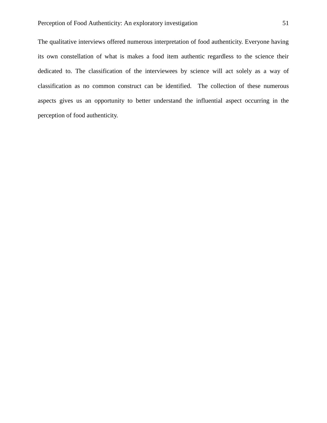The qualitative interviews offered numerous interpretation of food authenticity. Everyone having its own constellation of what is makes a food item authentic regardless to the science their dedicated to. The classification of the interviewees by science will act solely as a way of classification as no common construct can be identified. The collection of these numerous aspects gives us an opportunity to better understand the influential aspect occurring in the perception of food authenticity.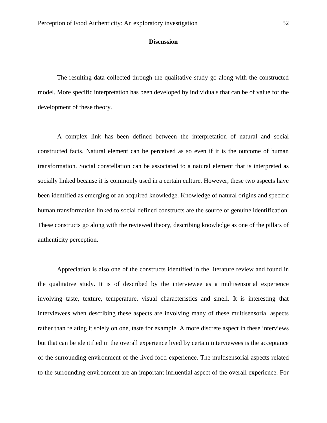## **Discussion**

The resulting data collected through the qualitative study go along with the constructed model. More specific interpretation has been developed by individuals that can be of value for the development of these theory.

A complex link has been defined between the interpretation of natural and social constructed facts. Natural element can be perceived as so even if it is the outcome of human transformation. Social constellation can be associated to a natural element that is interpreted as socially linked because it is commonly used in a certain culture. However, these two aspects have been identified as emerging of an acquired knowledge. Knowledge of natural origins and specific human transformation linked to social defined constructs are the source of genuine identification. These constructs go along with the reviewed theory, describing knowledge as one of the pillars of authenticity perception.

Appreciation is also one of the constructs identified in the literature review and found in the qualitative study. It is of described by the interviewee as a multisensorial experience involving taste, texture, temperature, visual characteristics and smell. It is interesting that interviewees when describing these aspects are involving many of these multisensorial aspects rather than relating it solely on one, taste for example. A more discrete aspect in these interviews but that can be identified in the overall experience lived by certain interviewees is the acceptance of the surrounding environment of the lived food experience. The multisensorial aspects related to the surrounding environment are an important influential aspect of the overall experience. For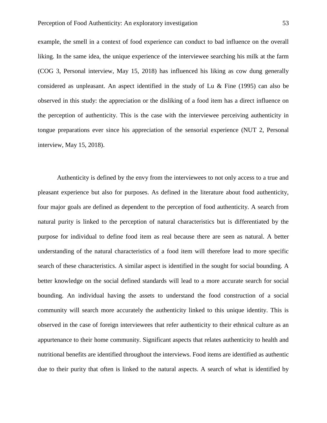example, the smell in a context of food experience can conduct to bad influence on the overall liking. In the same idea, the unique experience of the interviewee searching his milk at the farm (COG 3, Personal interview, May 15, 2018) has influenced his liking as cow dung generally considered as unpleasant. An aspect identified in the study of Lu  $\&$  Fine (1995) can also be observed in this study: the appreciation or the disliking of a food item has a direct influence on the perception of authenticity. This is the case with the interviewee perceiving authenticity in tongue preparations ever since his appreciation of the sensorial experience (NUT 2, Personal interview, May 15, 2018).

Authenticity is defined by the envy from the interviewees to not only access to a true and pleasant experience but also for purposes. As defined in the literature about food authenticity, four major goals are defined as dependent to the perception of food authenticity. A search from natural purity is linked to the perception of natural characteristics but is differentiated by the purpose for individual to define food item as real because there are seen as natural. A better understanding of the natural characteristics of a food item will therefore lead to more specific search of these characteristics. A similar aspect is identified in the sought for social bounding. A better knowledge on the social defined standards will lead to a more accurate search for social bounding. An individual having the assets to understand the food construction of a social community will search more accurately the authenticity linked to this unique identity. This is observed in the case of foreign interviewees that refer authenticity to their ethnical culture as an appurtenance to their home community. Significant aspects that relates authenticity to health and nutritional benefits are identified throughout the interviews. Food items are identified as authentic due to their purity that often is linked to the natural aspects. A search of what is identified by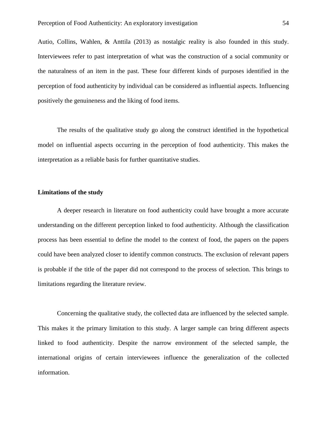Autio, Collins, Wahlen, & Anttila (2013) as nostalgic reality is also founded in this study. Interviewees refer to past interpretation of what was the construction of a social community or the naturalness of an item in the past. These four different kinds of purposes identified in the perception of food authenticity by individual can be considered as influential aspects. Influencing positively the genuineness and the liking of food items.

The results of the qualitative study go along the construct identified in the hypothetical model on influential aspects occurring in the perception of food authenticity. This makes the interpretation as a reliable basis for further quantitative studies.

## **Limitations of the study**

A deeper research in literature on food authenticity could have brought a more accurate understanding on the different perception linked to food authenticity. Although the classification process has been essential to define the model to the context of food, the papers on the papers could have been analyzed closer to identify common constructs. The exclusion of relevant papers is probable if the title of the paper did not correspond to the process of selection. This brings to limitations regarding the literature review.

Concerning the qualitative study, the collected data are influenced by the selected sample. This makes it the primary limitation to this study. A larger sample can bring different aspects linked to food authenticity. Despite the narrow environment of the selected sample, the international origins of certain interviewees influence the generalization of the collected information.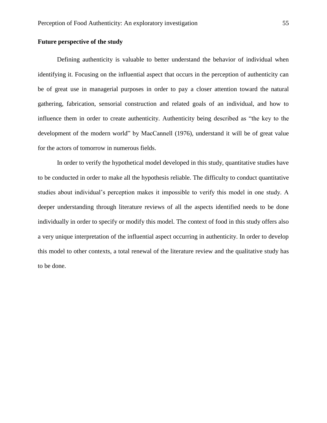# **Future perspective of the study**

Defining authenticity is valuable to better understand the behavior of individual when identifying it. Focusing on the influential aspect that occurs in the perception of authenticity can be of great use in managerial purposes in order to pay a closer attention toward the natural gathering, fabrication, sensorial construction and related goals of an individual, and how to influence them in order to create authenticity. Authenticity being described as "the key to the development of the modern world" by MacCannell (1976), understand it will be of great value for the actors of tomorrow in numerous fields.

In order to verify the hypothetical model developed in this study, quantitative studies have to be conducted in order to make all the hypothesis reliable. The difficulty to conduct quantitative studies about individual's perception makes it impossible to verify this model in one study. A deeper understanding through literature reviews of all the aspects identified needs to be done individually in order to specify or modify this model. The context of food in this study offers also a very unique interpretation of the influential aspect occurring in authenticity. In order to develop this model to other contexts, a total renewal of the literature review and the qualitative study has to be done.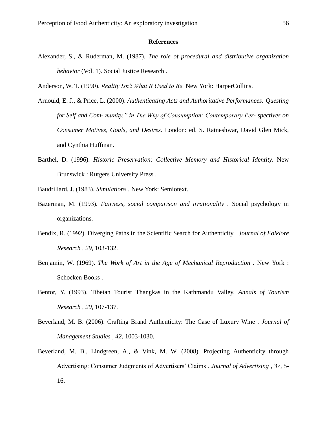## **References**

- Alexander, S., & Ruderman, M. (1987). *The role of procedural and distributive organization behavior* (Vol. 1). Social Justice Research .
- Anderson, W. T. (1990). *Reality Isn't What It Used to Be.* New York: HarperCollins.
- Arnould, E. J., & Price, L. (2000). *Authenticating Acts and Authoritative Performances: Questing for Self and Com- munity," in The Why of Consumption: Contemporary Per- spectives on Consumer Motives, Goals, and Desires.* London: ed. S. Ratneshwar, David Glen Mick, and Cynthia Huffman.
- Barthel, D. (1996). *Historic Preservation: Collective Memory and Historical Identity.* New Brunswick : Rutgers University Press .
- Baudrillard, J. (1983). *Simulations .* New York: Semiotext.
- Bazerman, M. (1993). *Fairness, social comparison and irrationality .* Social psychology in organizations.
- Bendix, R. (1992). Diverging Paths in the Scientific Search for Authenticity . *Journal of Folklore Research , 29*, 103-132.
- Benjamin, W. (1969). *The Work of Art in the Age of Mechanical Reproduction .* New York : Schocken Books .
- Bentor, Y. (1993). Tibetan Tourist Thangkas in the Kathmandu Valley. *Annals of Tourism Research , 20*, 107-137.
- Beverland, M. B. (2006). Crafting Brand Authenticity: The Case of Luxury Wine . *Journal of Management Studies , 42*, 1003-1030.
- Beverland, M. B., Lindgreen, A., & Vink, M. W. (2008). Projecting Authenticity through Advertising: Consumer Judgments of Advertisers' Claims . *Journal of Advertising , 37*, 5- 16.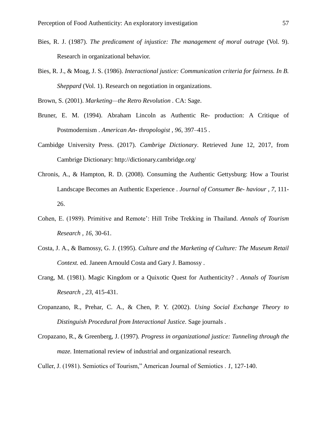- Bies, R. J. (1987). *The predicament of injustice: The management of moral outrage* (Vol. 9). Research in organizational behavior.
- Bies, R. J., & Moag, J. S. (1986). *Interactional justice: Communication criteria for fairness. In B. Sheppard* (Vol. 1). Research on negotiation in organizations.

Brown, S. (2001). *Marketing—the Retro Revolution .* CA: Sage.

- Bruner, E. M. (1994). Abraham Lincoln as Authentic Re- production: A Critique of Postmodernism . *American An- thropologist , 96*, 397–415 .
- Cambidge University Press. (2017). *Cambrige Dictionary*. Retrieved June 12, 2017, from Cambrige Dictionary: http://dictionary.cambridge.org/
- Chronis, A., & Hampton, R. D. (2008). Consuming the Authentic Gettysburg: How a Tourist Landscape Becomes an Authentic Experience . *Journal of Consumer Be- haviour , 7*, 111- 26.
- Cohen, E. (1989). Primitive and Remote': Hill Tribe Trekking in Thailand. *Annals of Tourism Research , 16*, 30-61.
- Costa, J. A., & Bamossy, G. J. (1995). *Culture and the Marketing of Culture: The Museum Retail Context.* ed. Janeen Arnould Costa and Gary J. Bamossy .
- Crang, M. (1981). Magic Kingdom or a Quixotic Quest for Authenticity? . *Annals of Tourism Research , 23*, 415-431.
- Cropanzano, R., Prehar, C. A., & Chen, P. Y. (2002). *Using Social Exchange Theory to Distinguish Procedural from Interactional Justice.* Sage journals .
- Cropazano, R., & Greenberg, J. (1997). *Progress in organizational justice: Tunneling through the maze.* International review of industrial and organizational research.

Culler, J. (1981). Semiotics of Tourism," American Journal of Semiotics . *1*, 127-140.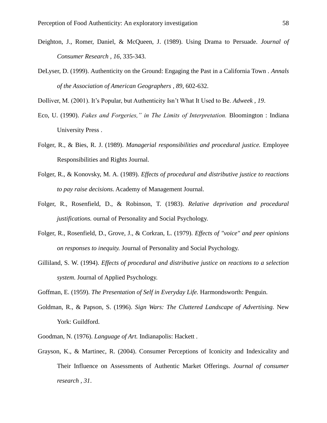- Deighton, J., Romer, Daniel, & McQueen, J. (1989). Using Drama to Persuade. *Journal of Consumer Research , 16*, 335-343.
- DeLyser, D. (1999). Authenticity on the Ground: Engaging the Past in a California Town . *Annals of the Association of American Geographers , 89*, 602-632.

Dolliver, M. (2001). It's Popular, but Authenticity Isn't What It Used to Be. *Adweek , 19*.

- Eco, U. (1990). *Fakes and Forgeries," in The Limits of Interpretation.* Bloomington : Indiana University Press .
- Folger, R., & Bies, R. J. (1989). *Managerial responsibilities and procedural justice.* Employee Responsibilities and Rights Journal.
- Folger, R., & Konovsky, M. A. (1989). *Effects of procedural and distributive justice to reactions to pay raise decisions.* Academy of Management Journal.
- Folger, R., Rosenfield, D., & Robinson, T. (1983). *Relative deprivation and procedural justifications.* ournal of Personality and Social Psychology.
- Folger, R., Rosenfield, D., Grove, J., & Corkran, L. (1979). *Effects of "voice" and peer opinions on responses to inequity.* Journal of Personality and Social Psychology.
- Gilliland, S. W. (1994). *Effects of procedural and distributive justice on reactions to a selection system.* Journal of Applied Psychology.

Goffman, E. (1959). *The Presentation of Self in Everyday Life.* Harmondsworth: Penguin.

- Goldman, R., & Papson, S. (1996). *Sign Wars: The Cluttered Landscape of Advertising.* New York: Guildford.
- Goodman, N. (1976). *Language of Art.* Indianapolis: Hackett .
- Grayson, K., & Martinec, R. (2004). Consumer Perceptions of Iconicity and Indexicality and Their Influence on Assessments of Authentic Market Offerings. *Journal of consumer research , 31*.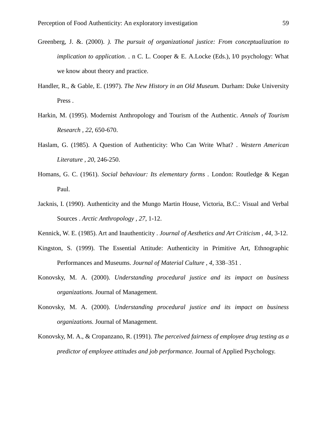- Greenberg, J. &. (2000). *). The pursuit of organizational justice: From conceptualization to implication to application...* n C. L. Cooper & E. A.Locke (Eds.), I/0 psychology: What we know about theory and practice.
- Handler, R., & Gable, E. (1997). *The New History in an Old Museum.* Durham: Duke University Press .
- Harkin, M. (1995). Modernist Anthropology and Tourism of the Authentic. *Annals of Tourism Research , 22*, 650-670.
- Haslam, G. (1985). A Question of Authenticity: Who Can Write What? . *Western American Literature , 20*, 246-250.
- Homans, G. C. (1961). *Social behaviour: Its elementary forms .* London: Routledge & Kegan Paul.
- Jacknis, I. (1990). Authenticity and the Mungo Martin House, Victoria, B.C.: Visual and Verbal Sources . *Arctic Anthropology , 27*, 1-12.
- Kennick, W. E. (1985). Art and Inauthenticity . *Journal of Aesthetics and Art Criticism , 44*, 3-12.
- Kingston, S. (1999). The Essential Attitude: Authenticity in Primitive Art, Ethnographic Performances and Museums. *Journal of Material Culture , 4*, 338–351 .
- Konovsky, M. A. (2000). *Understanding procedural justice and its impact on business organizations.* Journal of Management.
- Konovsky, M. A. (2000). *Understanding procedural justice and its impact on business organizations.* Journal of Management.
- Konovsky, M. A., & Cropanzano, R. (1991). *The perceived fairness of employee drug testing as a predictor of employee attitudes and job performance.* Journal of Applied Psychology.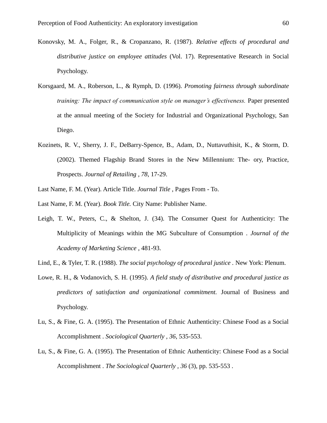- Konovsky, M. A., Folger, R., & Cropanzano, R. (1987). *Relative effects of procedural and distributive justice on employee attitudes* (Vol. 17). Representative Research in Social Psychology.
- Korsgaard, M. A., Roberson, L., & Rymph, D. (1996). *Promoting fairness through subordinate training: The impact of communication style on manager's effectiveness.* Paper presented at the annual meeting of the Society for Industrial and Organizational Psychology, San Diego.
- Kozinets, R. V., Sherry, J. F., DeBarry-Spence, B., Adam, D., Nuttavuthisit, K., & Storm, D. (2002). Themed Flagship Brand Stores in the New Millennium: The- ory, Practice, Prospects. *Journal of Retailing , 78*, 17-29.
- Last Name, F. M. (Year). Article Title. *Journal Title* , Pages From To.
- Last Name, F. M. (Year). *Book Title.* City Name: Publisher Name.
- Leigh, T. W., Peters, C., & Shelton, J. (34). The Consumer Quest for Authenticity: The Multiplicity of Meanings within the MG Subculture of Consumption . *Journal of the Academy of Marketing Science* , 481-93.
- Lind, E., & Tyler, T. R. (1988). *The social psychology of procedural justice .* New York: Plenum.
- Lowe, R. H., & Vodanovich, S. H. (1995). *A field study of distributive and procedural justice as predictors of satisfaction and organizational commitment.* Journal of Business and Psychology.
- Lu, S., & Fine, G. A. (1995). The Presentation of Ethnic Authenticity: Chinese Food as a Social Accomplishment . *Sociological Quarterly , 36*, 535-553.
- Lu, S., & Fine, G. A. (1995). The Presentation of Ethnic Authenticity: Chinese Food as a Social Accomplishment . *The Sociological Quarterly , 36* (3), pp. 535-553 .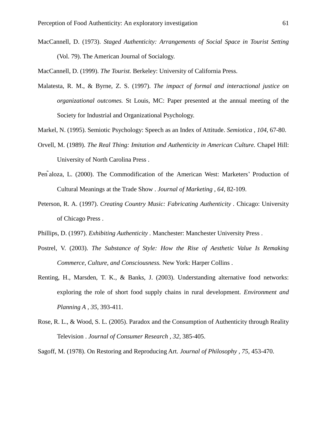MacCannell, D. (1973). *Staged Authenticity: Arrangements of Social Space in Tourist Setting* (Vol. 79). The American Journal of Socialogy.

MacCannell, D. (1999). *The Tourist.* Berkeley: University of California Press.

- Malatesta, R. M., & Byrne, Z. S. (1997). *The impact of formal and interactional justice on organizational outcomes.* St Louis, MC: Paper presented at the annual meeting of the Society for Industrial and Organizational Psychology.
- Markel, N. (1995). Semiotic Psychology: Speech as an Index of Attitude. *Semiotica , 104*, 67-80.
- Orvell, M. (1989). *The Real Thing: Imitation and Authenticity in American Culture.* Chapel Hill: University of North Carolina Press .
- Pen ̃aloza, L. (2000). The Commodification of the American West: Marketers' Production of Cultural Meanings at the Trade Show . *Journal of Marketing , 64*, 82-109.
- Peterson, R. A. (1997). *Creating Country Music: Fabricating Authenticity .* Chicago: University of Chicago Press .
- Phillips, D. (1997). *Exhibiting Authenticity .* Manchester: Manchester University Press .
- Postrel, V. (2003). *The Substance of Style: How the Rise of Aesthetic Value Is Remaking Commerce, Culture, and Consciousness.* New York: Harper Collins .
- Renting, H., Marsden, T. K., & Banks, J. (2003). Understanding alternative food networks: exploring the role of short food supply chains in rural development. *Environment and Planning A , 35*, 393-411.
- Rose, R. L., & Wood, S. L. (2005). Paradox and the Consumption of Authenticity through Reality Television . *Journal of Consumer Research , 32*, 385-405.

Sagoff, M. (1978). On Restoring and Reproducing Art. *Journal of Philosophy , 75*, 453-470.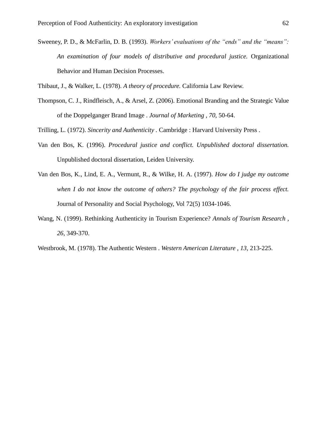Sweeney, P. D., & McFarlin, D. B. (1993). *Workers' evaluations of the "ends" and the "means": An examination of four models of distributive and procedural justice.* Organizational Behavior and Human Decision Processes.

Thibaut, J., & Walker, L. (1978). *A theory of procedure.* California Law Review.

- Thompson, C. J., Rindfleisch, A., & Arsel, Z. (2006). Emotional Branding and the Strategic Value of the Doppelganger Brand Image . *Journal of Marketing , 70*, 50-64.
- Trilling, L. (1972). *Sincerity and Authenticity .* Cambridge : Harvard University Press .
- Van den Bos, K. (1996). *Procedural justice and conflict. Unpublished doctoral dissertation.* Unpublished doctoral dissertation, Leiden University.
- Van den Bos, K., Lind, E. A., Vermunt, R., & Wilke, H. A. (1997). *How do I judge my outcome when I do not know the outcome of others? The psychology of the fair process effect.* Journal of Personality and Social Psychology, Vol 72(5) 1034-1046.
- Wang, N. (1999). Rethinking Authenticity in Tourism Experience? *Annals of Tourism Research , 26*, 349-370.
- Westbrook, M. (1978). The Authentic Western . *Western American Literature , 13*, 213-225.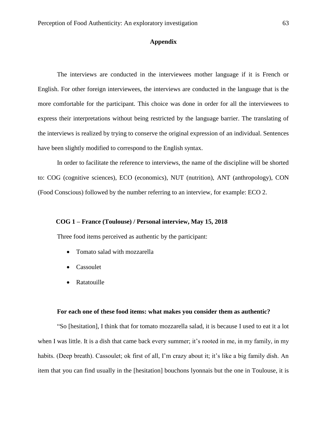# **Appendix**

The interviews are conducted in the interviewees mother language if it is French or English. For other foreign interviewees, the interviews are conducted in the language that is the more comfortable for the participant. This choice was done in order for all the interviewees to express their interpretations without being restricted by the language barrier. The translating of the interviews is realized by trying to conserve the original expression of an individual. Sentences have been slightly modified to correspond to the English syntax.

In order to facilitate the reference to interviews, the name of the discipline will be shorted to: COG (cognitive sciences), ECO (economics), NUT (nutrition), ANT (anthropology), CON (Food Conscious) followed by the number referring to an interview, for example: ECO 2.

## **COG 1 – France (Toulouse) / Personal interview, May 15, 2018**

Three food items perceived as authentic by the participant:

- Tomato salad with mozzarella
- Cassoulet
- Ratatouille

### **For each one of these food items: what makes you consider them as authentic?**

"So [hesitation], I think that for tomato mozzarella salad, it is because I used to eat it a lot when I was little. It is a dish that came back every summer; it's rooted in me, in my family, in my habits. (Deep breath). Cassoulet; ok first of all, I'm crazy about it; it's like a big family dish. An item that you can find usually in the [hesitation] bouchons lyonnais but the one in Toulouse, it is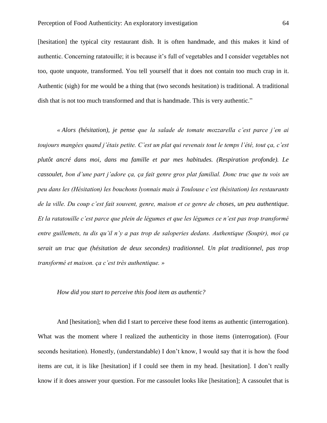[hesitation] the typical city restaurant dish. It is often handmade, and this makes it kind of authentic. Concerning ratatouille; it is because it's full of vegetables and I consider vegetables not too, quote unquote, transformed. You tell yourself that it does not contain too much crap in it. Authentic (sigh) for me would be a thing that (two seconds hesitation) is traditional. A traditional dish that is not too much transformed and that is handmade. This is very authentic."

*« Alors (hésitation), je pense que la salade de tomate mozzarella c'est parce j'en ai toujours mangées quand j'étais petite. C'est un plat qui revenais tout le temps l'été, tout ça, c'est plutôt ancré dans moi, dans ma famille et par mes habitudes. (Respiration profonde). Le cassoulet, bon d'une part j'adore ça, ça fait genre gros plat familial. Donc truc que tu vois un peu dans les (Hésitation) les bouchons lyonnais mais à Toulouse c'est (hésitation) les restaurants de la ville. Du coup c'est fait souvent, genre, maison et ce genre de choses, un peu authentique. Et la ratatouille c'est parce que plein de légumes et que les légumes ce n'est pas trop transformé entre guillemets, tu dis qu'il n'y a pas trop de saloperies dedans. Authentique (Soupir), moi ça serait un truc que (hésitation de deux secondes) traditionnel. Un plat traditionnel, pas trop transformé et maison. ça c'est très authentique. »* 

### *How did you start to perceive this food item as authentic?*

And [hesitation]; when did I start to perceive these food items as authentic (interrogation). What was the moment where I realized the authenticity in those items (interrogation). (Four seconds hesitation). Honestly, (understandable) I don't know, I would say that it is how the food items are cut, it is like [hesitation] if I could see them in my head. [hesitation]. I don't really know if it does answer your question. For me cassoulet looks like [hesitation]; A cassoulet that is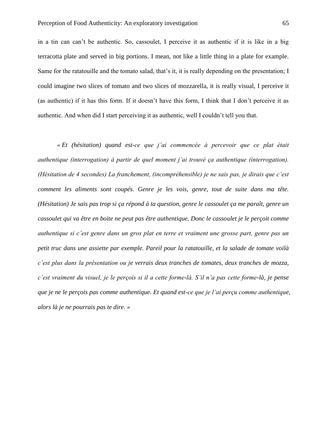in a tin can can't be authentic. So, cassoulet, I perceive it as authentic if it is like in a big terracotta plate and served in big portions. I mean, not like a little thing in a plate for example. Same for the ratatouille and the tomato salad, that's it, it is really depending on the presentation; I could imagine two slices of tomato and two slices of mozzarella, it is really visual, I perceive it (as authentic) if it has this form. If it doesn't have this form, I think that I don't perceive it as authentic. And when did I start perceiving it as authentic, well I couldn't tell you that.

*« Et (hésitation) quand est-ce que j'ai commencée à percevoir que ce plat était authentique (interrogation) à partir de quel moment j'ai trouvé ça authentique (interrogation). (Hésitation de 4 secondes) La franchement, (incompréhensible) je ne sais pas, je dirais que c'est comment les aliments sont coupés. Genre je les vois, genre, tout de suite dans ma tête. (Hésitation) Je sais pas trop si ça répond à ta question, genre le cassoulet ça me paraît, genre un cassoulet qui va être en boite ne peut pas être authentique. Donc le cassoulet je le perçoit comme authentique si c'est genre dans un gros plat en terre et vraiment une grosse part, genre pas un petit truc dans une assiette par exemple. Pareil pour la ratatouille, et la salade de tomate voilà c'est plus dans la présentation ou je verrais deux tranches de tomates, deux tranches de mozza, c'est vraiment du visuel, je le perçois si il a cette forme-là. S'il n'a pas cette forme-là, je pense que je ne le perçois pas comme authentique. Et quand est-ce que je l'ai perçu comme authentique, alors là je ne pourrais pas te dire. »*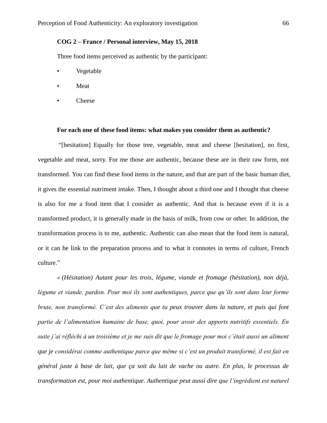# **COG 2 – France / Personal interview, May 15, 2018**

Three food items perceived as authentic by the participant:

- Vegetable
- **Meat**
- Cheese

#### **For each one of these food items: what makes you consider them as authentic?**

"[hesitation] Equally for those tree, vegetable, meat and cheese [hesitation], no first, vegetable and meat, sorry. For me those are authentic, because these are in their raw form, not transformed. You can find these food items in the nature, and that are part of the basic human diet, it gives the essential nutriment intake. Then, I thought about a third one and I thought that cheese is also for me a food item that I consider as authentic. And that is because even if it is a transformed product, it is generally made in the basis of milk, from cow or other. In addition, the transformation process is to me, authentic. Authentic can also mean that the food item is natural, or it can be link to the preparation process and to what it connotes in terms of culture, French culture."

*« (Hésitation) Autant pour les trois, légume, viande et fromage (hésitation), non déjà,*  légume et viande, pardon. Pour moi ils sont authentiques, parce que qu'ils sont dans leur forme *brute, non transformé. C'est des aliments que tu peux trouver dans la nature, et puis qui font partie de l'alimentation humaine de base, quoi, pour avoir des apports nutritifs essentiels. En suite j'ai réfléchi à un troisième et je me suis dit que le fromage pour moi c'était aussi un aliment que je considérai comme authentique parce que même si c'est un produit transformé, il est fait en général juste à base de lait, que ça soit du lait de vache ou autre. En plus, le processus de transformation est, pour moi authentique. Authentique peut aussi dire que l'ingrédient est naturel*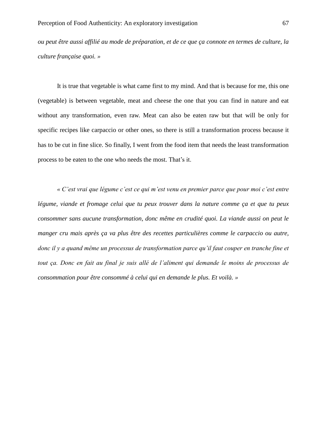*ou peut être aussi affilié au mode de préparation, et de ce que ça connote en termes de culture, la culture française quoi. »* 

It is true that vegetable is what came first to my mind. And that is because for me, this one (vegetable) is between vegetable, meat and cheese the one that you can find in nature and eat without any transformation, even raw. Meat can also be eaten raw but that will be only for specific recipes like carpaccio or other ones, so there is still a transformation process because it has to be cut in fine slice. So finally, I went from the food item that needs the least transformation process to be eaten to the one who needs the most. That's it.

*« C'est vrai que légume c'est ce qui m'est venu en premier parce que pour moi c'est entre légume, viande et fromage celui que tu peux trouver dans la nature comme ça et que tu peux consommer sans aucune transformation, donc même en crudité quoi. La viande aussi on peut le manger cru mais après ça va plus être des recettes particulières comme le carpaccio ou autre,*  donc il y a quand même un processus de transformation parce qu'il faut couper en tranche fine et tout ça. Donc en fait au final je suis allé de l'aliment qui demande le moins de processus de *consommation pour être consommé à celui qui en demande le plus. Et voilà. »*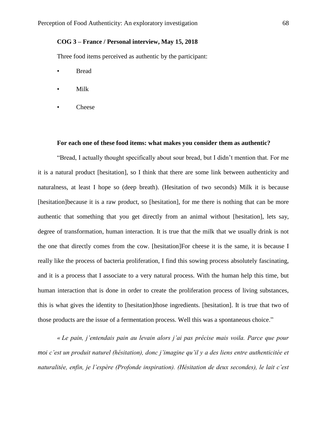# **COG 3 – France / Personal interview, May 15, 2018**

Three food items perceived as authentic by the participant:

- **Bread**
- Milk
- Cheese

#### **For each one of these food items: what makes you consider them as authentic?**

"Bread, I actually thought specifically about sour bread, but I didn't mention that. For me it is a natural product [hesitation], so I think that there are some link between authenticity and naturalness, at least I hope so (deep breath). (Hesitation of two seconds) Milk it is because [hesitation]because it is a raw product, so [hesitation], for me there is nothing that can be more authentic that something that you get directly from an animal without [hesitation], lets say, degree of transformation, human interaction. It is true that the milk that we usually drink is not the one that directly comes from the cow. [hesitation]For cheese it is the same, it is because I really like the process of bacteria proliferation, I find this sowing process absolutely fascinating, and it is a process that I associate to a very natural process. With the human help this time, but human interaction that is done in order to create the proliferation process of living substances, this is what gives the identity to [hesitation]those ingredients. [hesitation]. It is true that two of those products are the issue of a fermentation process. Well this was a spontaneous choice."

*« Le pain, j'entendais pain au levain alors j'ai pas précise mais voila. Parce que pour moi c'est un produit naturel (hésitation), donc j'imagine qu'il y a des liens entre authenticitée et naturalitée, enfin, je l'espère (Profonde inspiration). (Hésitation de deux secondes), le lait c'est*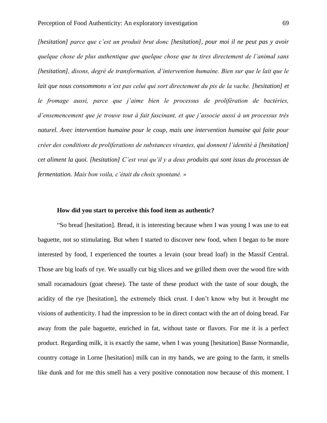*[hesitation] parce que c'est un produit brut donc [hesitation], pour moi il ne peut pas y avoir quelque chose de plus authentique que quelque chose que tu tires directement de l'animal sans [hesitation], disons, degré de transformation, d'intervention humaine. Bien sur que le lait que le lait que nous consommons n'est pas celui qui sort directement du pis de la vache. [hesitation] et le fromage aussi, parce que j'aime bien le processus de prolifération de bactéries, d'ensemencement que je trouve tout à fait fascinant, et que j'associe aussi à un processus très naturel. Avec intervention humaine pour le coup, mais une intervention humaine qui faite pour créer des conditions de proliferations de substances vivantes, qui donnent l'identité à [hesitation] cet aliment la quoi. [hesitation] C'est vrai qu'il y a deux produits qui sont issus du processus de fermentation. Mais bon voila, c'était du choix spontané. »*

## **How did you start to perceive this food item as authentic?**

"So bread [hesitation]. Bread, it is interesting because when I was young I was use to eat baguette, not so stimulating. But when I started to discover new food, when I began to be more interested by food, I experienced the tourtes a levain (sour bread loaf) in the Massif Central. Those are big loafs of rye. We usually cut big slices and we grilled them over the wood fire with small rocamadours (goat cheese). The taste of these product with the taste of sour dough, the acidity of the rye [hesitation], the extremely thick crust. I don't know why but it brought me visions of authenticity. I had the impression to be in direct contact with the art of doing bread. Far away from the pale baguette, enriched in fat, without taste or flavors. For me it is a perfect product. Regarding milk, it is exactly the same, when I was young [hesitation] Basse Normandie, country cottage in Lorne [hesitation] milk can in my hands, we are going to the farm, it smells like dunk and for me this smell has a very positive connotation now because of this moment. I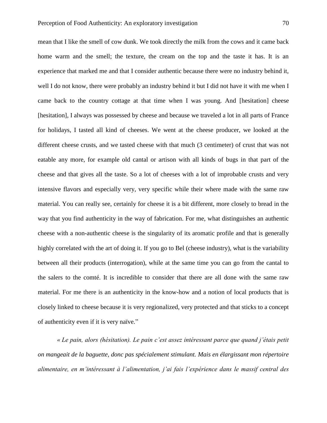mean that I like the smell of cow dunk. We took directly the milk from the cows and it came back home warm and the smell; the texture, the cream on the top and the taste it has. It is an experience that marked me and that I consider authentic because there were no industry behind it, well I do not know, there were probably an industry behind it but I did not have it with me when I came back to the country cottage at that time when I was young. And [hesitation] cheese [hesitation], I always was possessed by cheese and because we traveled a lot in all parts of France for holidays, I tasted all kind of cheeses. We went at the cheese producer, we looked at the different cheese crusts, and we tasted cheese with that much (3 centimeter) of crust that was not eatable any more, for example old cantal or artison with all kinds of bugs in that part of the cheese and that gives all the taste. So a lot of cheeses with a lot of improbable crusts and very intensive flavors and especially very, very specific while their where made with the same raw material. You can really see, certainly for cheese it is a bit different, more closely to bread in the way that you find authenticity in the way of fabrication. For me, what distinguishes an authentic cheese with a non-authentic cheese is the singularity of its aromatic profile and that is generally highly correlated with the art of doing it. If you go to Bel (cheese industry), what is the variability between all their products (interrogation), while at the same time you can go from the cantal to the salers to the comté. It is incredible to consider that there are all done with the same raw material. For me there is an authenticity in the know-how and a notion of local products that is closely linked to cheese because it is very regionalized, very protected and that sticks to a concept of authenticity even if it is very naïve."

*« Le pain, alors (hésitation). Le pain c'est assez intéressant parce que quand j'étais petit on mangeait de la baguette, donc pas spécialement stimulant. Mais en élargissant mon répertoire alimentaire, en m'intéressant à l'alimentation, j'ai fais l'expérience dans le massif central des*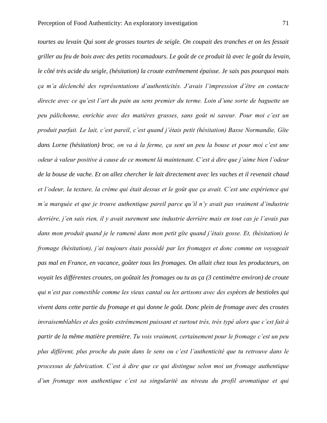*tourtes au levain Qui sont de grosses tourtes de seigle. On coupait des tranches et on les fessait griller au feu de bois avec des petits rocamadours. Le goût de ce produit là avec le goût du levain, le côté très acide du seigle, (hésitation) la croute extrêmement épaisse. Je sais pas pourquoi mais ça m'a déclenché des représentations d'authenticités. J'avais l'impression d'être en contacte directe avec ce qu'est l'art du pain au sens premier du terme. Loin d'une sorte de baguette un peu pâlichonne, enrichie avec des matières grasses, sans goût ni saveur. Pour moi c'est un produit parfait. Le lait, c'est pareil, c'est quand j'étais petit (hésitation) Basse Normandie, Gîte dans Lorne (hésitation) broc, on va à la ferme, ça sent un peu la bouse et pour moi c'est une odeur à valeur positive à cause de ce moment là maintenant. C'est à dire que j'aime bien l'odeur de la bouse de vache. Et on allez chercher le lait directement avec les vaches et il revenait chaud et l'odeur, la texture, la crème qui était dessus et le goût que ça avait. C'est une expérience qui m'a marquée et que je trouve authentique pareil parce qu'il n'y avait pas vraiment d'industrie derrière, j'en sais rien, il y avait surement une industrie derrière mais en tout cas je l'avais pas dans mon produit quand je le ramené dans mon petit gîte quand j'étais gosse. Et, (hésitation) le fromage (hésitation), j'ai toujours étais possédé par les fromages et donc comme on voyageait pas mal en France, en vacance, goûter tous les fromages. On allait chez tous les producteurs, on voyait les différentes croutes, on goûtait les fromages ou tu as ça (3 centimètre environ) de croute qui n'est pas comestible comme les vieux cantal ou les artisons avec des espèces de bestioles qui vivent dans cette partie du fromage et qui donne le goût. Donc plein de fromage avec des croutes invraisemblables et des goûts extrêmement puissant et surtout très, très typé alors que c'est fait à partir de la même matière première. Tu vois vraiment, certainement pour le fromage c'est un peu plus différent, plus proche du pain dans le sens ou c'est l'authenticité que tu retrouve dans le processus de fabrication. C'est à dire que ce qui distingue selon moi un fromage authentique d'un fromage non authentique c'est sa singularité au niveau du profil aromatique et qui*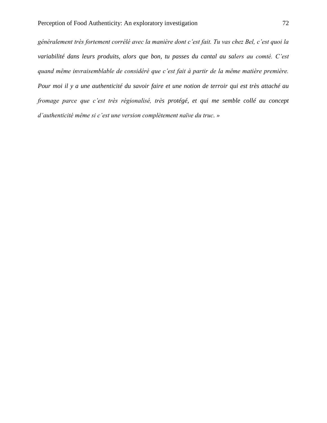*généralement très fortement corrélé avec la manière dont c'est fait. Tu vas chez Bel, c'est quoi la variabilité dans leurs produits, alors que bon, tu passes du cantal au salers au comté. C'est quand même invraisemblable de considéré que c'est fait à partir de la même matière première. Pour moi il y a une authenticité du savoir faire et une notion de terroir qui est très attaché au fromage parce que c'est très régionalisé, très protégé, et qui me semble collé au concept d'authenticité même si c'est une version complètement naïve du truc. »*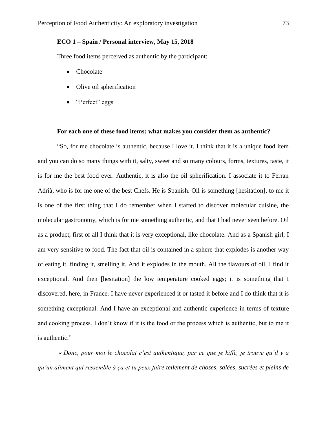# **ECO 1 – Spain / Personal interview, May 15, 2018**

Three food items perceived as authentic by the participant:

- Chocolate
- Olive oil spherification
- "Perfect" eggs

#### **For each one of these food items: what makes you consider them as authentic?**

"So, for me chocolate is authentic, because I love it. I think that it is a unique food item and you can do so many things with it, salty, sweet and so many colours, forms, textures, taste, it is for me the best food ever. Authentic, it is also the oil spherification. I associate it to Ferran Adrià, who is for me one of the best Chefs. He is Spanish. Oil is something [hesitation], to me it is one of the first thing that I do remember when I started to discover molecular cuisine, the molecular gastronomy, which is for me something authentic, and that I had never seen before. Oil as a product, first of all I think that it is very exceptional, like chocolate. And as a Spanish girl, I am very sensitive to food. The fact that oil is contained in a sphere that explodes is another way of eating it, finding it, smelling it. And it explodes in the mouth. All the flavours of oil, I find it exceptional. And then [hesitation] the low temperature cooked eggs; it is something that I discovered, here, in France. I have never experienced it or tasted it before and I do think that it is something exceptional. And I have an exceptional and authentic experience in terms of texture and cooking process. I don't know if it is the food or the process which is authentic, but to me it is authentic."

*« Donc, pour moi le chocolat c'est authentique, par ce que je kiffe, je trouve qu'il y a qu'un aliment qui ressemble à ça et tu peux faire tellement de choses, salées, sucrées et pleins de*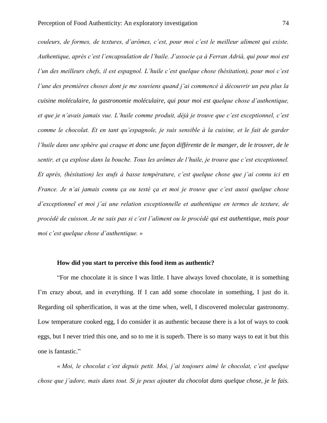*couleurs, de formes, de textures, d'arômes, c'est, pour moi c'est le meilleur aliment qui existe. Authentique, après c'est l'encapsulation de l'huile. J'associe ça à Ferran Adrià, qui pour moi est l'un des meilleurs chefs, il est espagnol. L'huile c'est quelque chose (hésitation), pour moi c'est l'une des premières choses dont je me souviens quand j'ai commencé à découvrir un peu plus la cuisine moléculaire, la gastronomie moléculaire, qui pour moi est quelque chose d'authentique, et que je n'avais jamais vue. L'huile comme produit, déjà je trouve que c'est exceptionnel, c'est comme le chocolat. Et en tant qu'espagnole, je suis sensible à la cuisine, et le fait de garder l'huile dans une sphère qui craque et donc une façon différente de le manger, de le trouver, de le sentir, et ça explose dans la bouche. Tous les arômes de l'huile, je trouve que c'est exceptionnel. Et après, (hésitation) les œufs à basse température, c'est quelque chose que j'ai connu ici en France. Je n'ai jamais connu ça ou testé ça et moi je trouve que c'est aussi quelque chose d'exceptionnel et moi j'ai une relation exceptionnelle et authentique en termes de texture, de procédé de cuisson. Je ne sais pas si c'est l'aliment ou le procédé qui est authentique, mais pour moi c'est quelque chose d'authentique. »*

### **How did you start to perceive this food item as authentic?**

"For me chocolate it is since I was little. I have always loved chocolate, it is something I'm crazy about, and in everything. If I can add some chocolate in something, I just do it. Regarding oil spherification, it was at the time when, well, I discovered molecular gastronomy. Low temperature cooked egg, I do consider it as authentic because there is a lot of ways to cook eggs, but I never tried this one, and so to me it is superb. There is so many ways to eat it but this one is fantastic."

*« Moi, le chocolat c'est depuis petit. Moi, j'ai toujours aimé le chocolat, c'est quelque chose que j'adore, mais dans tout. Si je peux ajouter du chocolat dans quelque chose, je le fais.*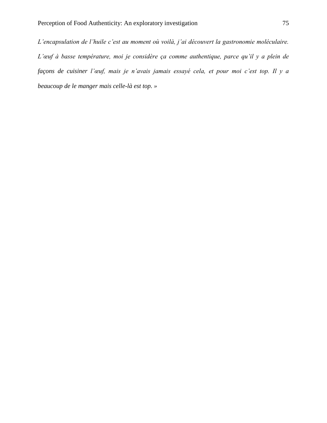*L'encapsulation de l'huile c'est au moment où voilà, j'ai découvert la gastronomie moléculaire. L'œuf à basse température, moi je considère ça comme authentique, parce qu'il y a plein de façons de cuisiner l'œuf, mais je n'avais jamais essayé cela, et pour moi c'est top. Il y a beaucoup de le manger mais celle-là est top. »*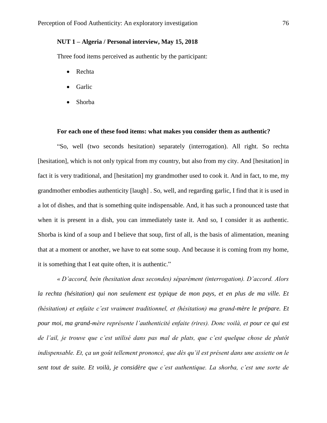# **NUT 1 – Algeria / Personal interview, May 15, 2018**

Three food items perceived as authentic by the participant:

- Rechta
- **Garlic**
- Shorba

#### **For each one of these food items: what makes you consider them as authentic?**

"So, well (two seconds hesitation) separately (interrogation). All right. So rechta [hesitation], which is not only typical from my country, but also from my city. And [hesitation] in fact it is very traditional, and [hesitation] my grandmother used to cook it. And in fact, to me, my grandmother embodies authenticity [laugh] . So, well, and regarding garlic, I find that it is used in a lot of dishes, and that is something quite indispensable. And, it has such a pronounced taste that when it is present in a dish, you can immediately taste it. And so, I consider it as authentic. Shorba is kind of a soup and I believe that soup, first of all, is the basis of alimentation, meaning that at a moment or another, we have to eat some soup. And because it is coming from my home, it is something that I eat quite often, it is authentic."

*« D'accord, bein (hesitation deux secondes) séparément (interrogation). D'accord. Alors la rechta (hésitation) qui non seulement est typique de mon pays, et en plus de ma ville. Et (hésitation) et enfaite c'est vraiment traditionnel, et (hésitation) ma grand-mère le prépare. Et pour moi, ma grand-mère représente l'authenticité enfaite (rires). Donc voilà, et pour ce qui est de l'ail, je trouve que c'est utilisé dans pas mal de plats, que c'est quelque chose de plutôt indispensable. Et, ça un goût tellement prononcé, que dès qu'il est présent dans une assiette on le sent tout de suite. Et voilà, je considère que c'est authentique. La shorba, c'est une sorte de*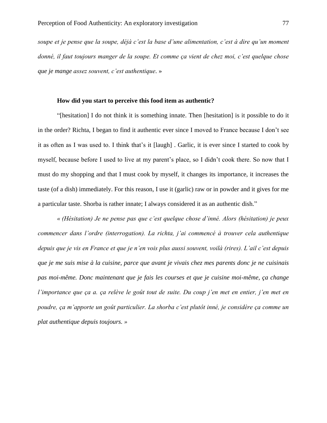*soupe et je pense que la soupe, déjà c'est la base d'une alimentation, c'est à dire qu'un moment donné, il faut toujours manger de la soupe. Et comme ça vient de chez moi, c'est quelque chose que je mange assez souvent, c'est authentique*. »

## **How did you start to perceive this food item as authentic?**

"[hesitation] I do not think it is something innate. Then [hesitation] is it possible to do it in the order? Richta, I began to find it authentic ever since I moved to France because I don't see it as often as I was used to. I think that's it [laugh] . Garlic, it is ever since I started to cook by myself, because before I used to live at my parent's place, so I didn't cook there. So now that I must do my shopping and that I must cook by myself, it changes its importance, it increases the taste (of a dish) immediately. For this reason, I use it (garlic) raw or in powder and it gives for me a particular taste. Shorba is rather innate; I always considered it as an authentic dish."

*« (Hésitation) Je ne pense pas que c'est quelque chose d'inné. Alors (hésitation) je peux commencer dans l'ordre (interrogation). La richta, j'ai commencé à trouver cela authentique depuis que je vis en France et que je n'en vois plus aussi souvent, voilà (rires). L'ail c'est depuis que je me suis mise à la cuisine, parce que avant je vivais chez mes parents donc je ne cuisinais pas moi-même. Donc maintenant que je fais les courses et que je cuisine moi-même, ça change l'importance que ça a. ça relève le goût tout de suite. Du coup j'en met en entier, j'en met en poudre, ça m'apporte un goût particulier. La shorba c'est plutôt inné, je considère ça comme un plat authentique depuis toujours. »*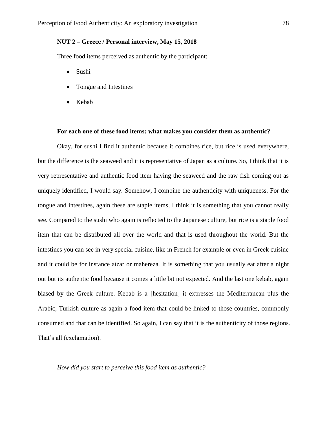# **NUT 2 – Greece / Personal interview, May 15, 2018**

Three food items perceived as authentic by the participant:

- Sushi
- Tongue and Intestines
- Kebab

#### **For each one of these food items: what makes you consider them as authentic?**

Okay, for sushi I find it authentic because it combines rice, but rice is used everywhere, but the difference is the seaweed and it is representative of Japan as a culture. So, I think that it is very representative and authentic food item having the seaweed and the raw fish coming out as uniquely identified, I would say. Somehow, I combine the authenticity with uniqueness. For the tongue and intestines, again these are staple items, I think it is something that you cannot really see. Compared to the sushi who again is reflected to the Japanese culture, but rice is a staple food item that can be distributed all over the world and that is used throughout the world. But the intestines you can see in very special cuisine, like in French for example or even in Greek cuisine and it could be for instance atzar or mahereza. It is something that you usually eat after a night out but its authentic food because it comes a little bit not expected. And the last one kebab, again biased by the Greek culture. Kebab is a [hesitation] it expresses the Mediterranean plus the Arabic, Turkish culture as again a food item that could be linked to those countries, commonly consumed and that can be identified. So again, I can say that it is the authenticity of those regions. That's all (exclamation).

### *How did you start to perceive this food item as authentic?*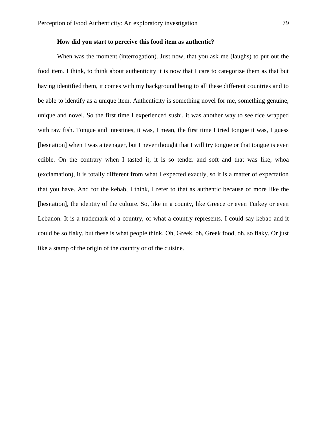### **How did you start to perceive this food item as authentic?**

When was the moment (interrogation). Just now, that you ask me (laughs) to put out the food item. I think, to think about authenticity it is now that I care to categorize them as that but having identified them, it comes with my background being to all these different countries and to be able to identify as a unique item. Authenticity is something novel for me, something genuine, unique and novel. So the first time I experienced sushi, it was another way to see rice wrapped with raw fish. Tongue and intestines, it was, I mean, the first time I tried tongue it was, I guess [hesitation] when I was a teenager, but I never thought that I will try tongue or that tongue is even edible. On the contrary when I tasted it, it is so tender and soft and that was like, whoa (exclamation), it is totally different from what I expected exactly, so it is a matter of expectation that you have. And for the kebab, I think, I refer to that as authentic because of more like the [hesitation], the identity of the culture. So, like in a county, like Greece or even Turkey or even Lebanon. It is a trademark of a country, of what a country represents. I could say kebab and it could be so flaky, but these is what people think. Oh, Greek, oh, Greek food, oh, so flaky. Or just like a stamp of the origin of the country or of the cuisine.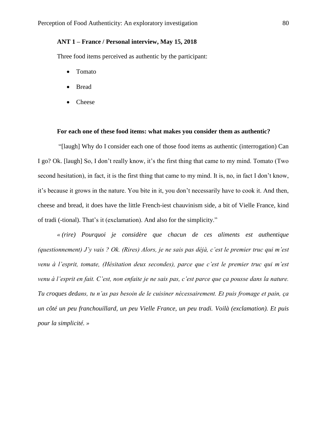# **ANT 1 – France / Personal interview, May 15, 2018**

Three food items perceived as authentic by the participant:

- Tomato
- Bread
- Cheese

#### **For each one of these food items: what makes you consider them as authentic?**

"[laugh] Why do I consider each one of those food items as authentic (interrogation) Can I go? Ok. [laugh] So, I don't really know, it's the first thing that came to my mind. Tomato (Two second hesitation), in fact, it is the first thing that came to my mind. It is, no, in fact I don't know, it's because it grows in the nature. You bite in it, you don't necessarily have to cook it. And then, cheese and bread, it does have the little French-iest chauvinism side, a bit of Vielle France, kind of tradi (-tional). That's it (exclamation). And also for the simplicity."

*« (rire) Pourquoi je considère que chacun de ces aliments est authentique (questionnement) J'y vais ? Ok. (Rires) Alors, je ne sais pas déjà, c'est le premier truc qui m'est venu à l'esprit, tomate, (Hésitation deux secondes), parce que c'est le premier truc qui m'est venu à l'esprit en fait. C'est, non enfaite je ne sais pas, c'est parce que ça pousse dans la nature. Tu croques dedans, tu n'as pas besoin de le cuisiner nécessairement. Et puis fromage et pain, ça un côté un peu franchouillard, un peu Vielle France, un peu tradi. Voilà (exclamation). Et puis pour la simplicité. »*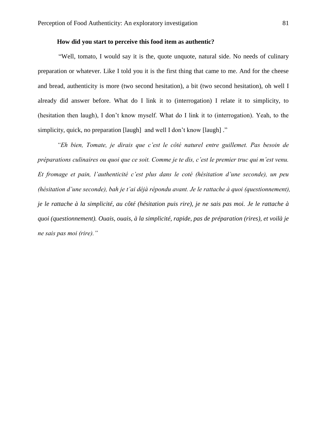### **How did you start to perceive this food item as authentic?**

"Well, tomato, I would say it is the, quote unquote, natural side. No needs of culinary preparation or whatever. Like I told you it is the first thing that came to me. And for the cheese and bread, authenticity is more (two second hesitation), a bit (two second hesitation), oh well I already did answer before. What do I link it to (interrogation) I relate it to simplicity, to (hesitation then laugh), I don't know myself. What do I link it to (interrogation). Yeah, to the simplicity, quick, no preparation [laugh] and well I don't know [laugh] ."

*"Eh bien, Tomate, je dirais que c'est le côté naturel entre guillemet. Pas besoin de préparations culinaires ou quoi que ce soit. Comme je te dis, c'est le premier truc qui m'est venu. Et fromage et pain, l'authenticité c'est plus dans le coté (hésitation d'une seconde), un peu (hésitation d'une seconde), bah je t'ai déjà répondu avant. Je le rattache à quoi (questionnement), je le rattache à la simplicité, au côté (hésitation puis rire), je ne sais pas moi. Je le rattache à quoi (questionnement). Ouais, ouais, à la simplicité, rapide, pas de préparation (rires), et voilà je ne sais pas moi (rire)."*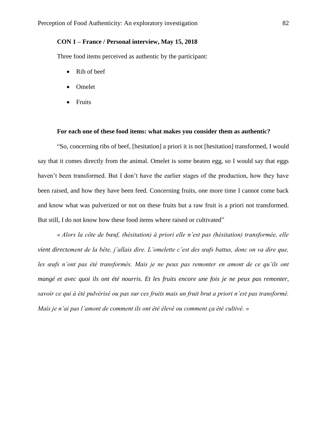# **CON 1 – France / Personal interview, May 15, 2018**

Three food items perceived as authentic by the participant:

- Rib of beef
- Omelet
- Fruits

#### **For each one of these food items: what makes you consider them as authentic?**

"So, concerning ribs of beef, [hesitation] a priori it is not [hesitation] transformed, I would say that it comes directly from the animal. Omelet is some beaten egg, so I would say that eggs haven't been transformed. But I don't have the earlier stages of the production, how they have been raised, and how they have been feed. Concerning fruits, one more time I cannot come back and know what was pulverized or not on these fruits but a raw fruit is a priori not transformed. But still, I do not know how these food items where raised or cultivated"

*« Alors la côte de bœuf, (hésitation) à priori elle n'est pas (hésitation) transformée, elle vient directement de la bête, j'allais dire. L'omelette c'est des œufs battus, donc on va dire que,*  les œufs n'ont pas été transformés. Mais je ne peux pas remonter en amont de ce qu'ils ont *mangé et avec quoi ils ont été nourris. Et les fruits encore une fois je ne peux pas remonter, savoir ce qui à été pulvérisé ou pas sur ces fruits mais un fruit brut a priori n'est pas transformé. Mais je n'ai pas l'amont de comment ils ont été élevé ou comment ça été cultivé. »*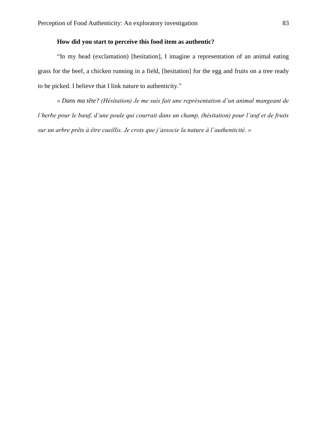# **How did you start to perceive this food item as authentic?**

"In my head (exclamation) [hesitation], I imagine a representation of an animal eating grass for the beef, a chicken running in a field, [hesitation] for the egg and fruits on a tree ready to be picked. I believe that I link nature to authenticity."

*« Dans ma tête? (Hésitation) Je me suis fait une représentation d'un animal mangeant de l'herbe pour le bœuf, d'une poule qui courrait dans un champ, (hésitation) pour l'œuf et de fruits sur un arbre prêts à être cueillis. Je crois que j'associe la nature à l'authenticité. »*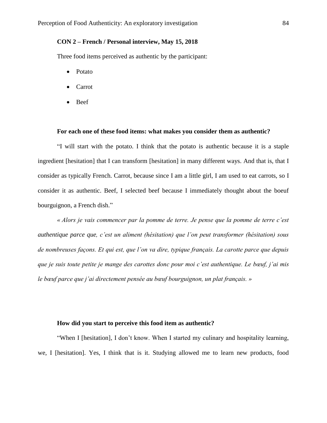## **CON 2 – French / Personal interview, May 15, 2018**

Three food items perceived as authentic by the participant:

- Potato
- Carrot
- Beef

#### **For each one of these food items: what makes you consider them as authentic?**

"I will start with the potato. I think that the potato is authentic because it is a staple ingredient [hesitation] that I can transform [hesitation] in many different ways. And that is, that I consider as typically French. Carrot, because since I am a little girl, I am used to eat carrots, so I consider it as authentic. Beef, I selected beef because I immediately thought about the boeuf bourguignon, a French dish."

*« Alors je vais commencer par la pomme de terre. Je pense que la pomme de terre c'est authentique parce que, c'est un aliment (hésitation) que l'on peut transformer (hésitation) sous de nombreuses façons. Et qui est, que l'on va dire, typique français. La carotte parce que depuis que je suis toute petite je mange des carottes donc pour moi c'est authentique. Le bœuf, j'ai mis le bœuf parce que j'ai directement pensée au bœuf bourguignon, un plat français. »*

### **How did you start to perceive this food item as authentic?**

"When I [hesitation], I don't know. When I started my culinary and hospitality learning, we, I [hesitation]. Yes, I think that is it. Studying allowed me to learn new products, food